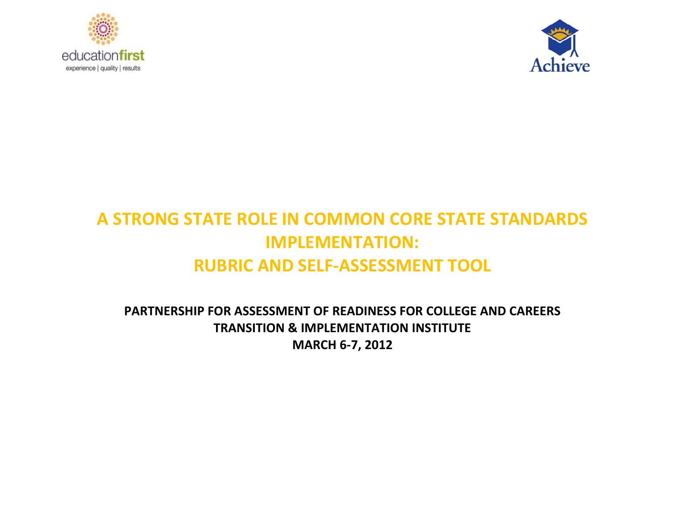



# **A STRONG STATE ROLE IN COMMON CORE STATE STANDARDS IMPLEMENTATION: RUBRIC AND SELF-ASSESSMENT TOOL**

**PARTNERSHIP FOR ASSESSMENT OF READINESS FOR COLLEGE AND CAREERS TRANSITION & IMPLEMENTATION INSTITUTE MARCH 6-7, 2012**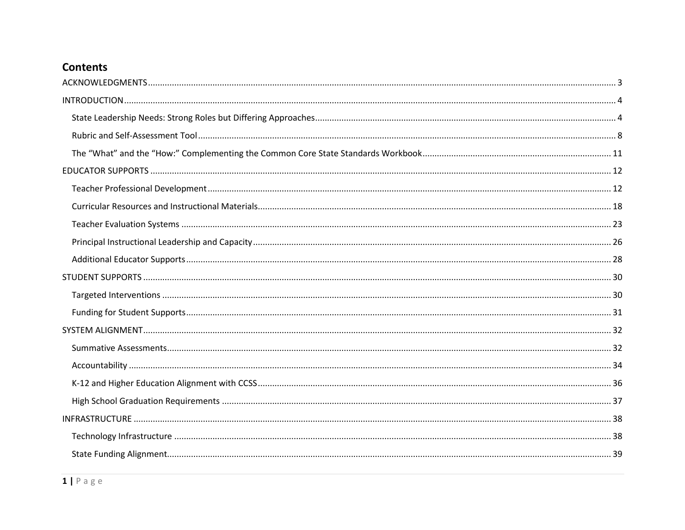# **Contents**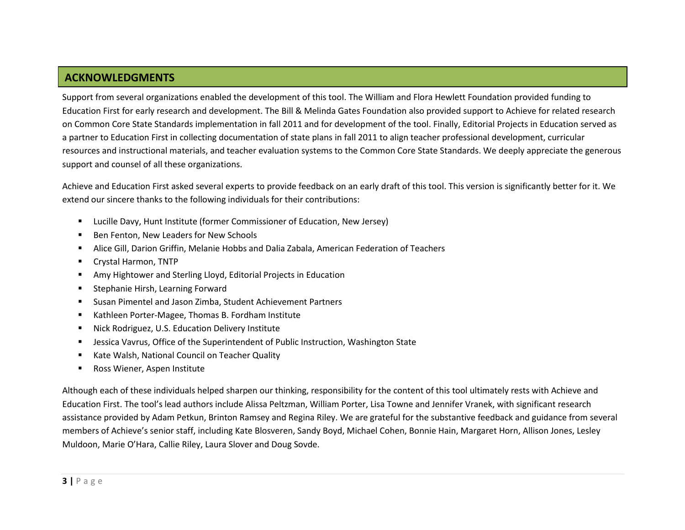## **ACKNOWLEDGMENTS**

Support from several organizations enabled the development of this tool. The William and Flora Hewlett Foundation provided funding to Education First for early research and development. The Bill & Melinda Gates Foundation also provided support to Achieve for related research on Common Core State Standards implementation in fall 2011 and for development of the tool. Finally, Editorial Projects in Education served as a partner to Education First in collecting documentation of state plans in fall 2011 to align teacher professional development, curricular resources and instructional materials, and teacher evaluation systems to the Common Core State Standards. We deeply appreciate the generous support and counsel of all these organizations.

Achieve and Education First asked several experts to provide feedback on an early draft of this tool. This version is significantly better for it. We extend our sincere thanks to the following individuals for their contributions:

- Lucille Davy, Hunt Institute (former Commissioner of Education, New Jersey)
- Ben Fenton, New Leaders for New Schools
- Alice Gill, Darion Griffin, Melanie Hobbs and Dalia Zabala, American Federation of Teachers
- Crystal Harmon, TNTP
- Amy Hightower and Sterling Lloyd, Editorial Projects in Education
- **EXECTE:** Stephanie Hirsh, Learning Forward
- Susan Pimentel and Jason Zimba, Student Achievement Partners
- Kathleen Porter-Magee, Thomas B. Fordham Institute
- Nick Rodriguez, U.S. Education Delivery Institute
- **■** Jessica Vavrus, Office of the Superintendent of Public Instruction, Washington State
- **Kate Walsh, National Council on Teacher Quality**
- Ross Wiener, Aspen Institute

Although each of these individuals helped sharpen our thinking, responsibility for the content of this tool ultimately rests with Achieve and Education First. The tool's lead authors include Alissa Peltzman, William Porter, Lisa Towne and Jennifer Vranek, with significant research assistance provided by Adam Petkun, Brinton Ramsey and Regina Riley. We are grateful for the substantive feedback and guidance from several members of Achieve's senior staff, including Kate Blosveren, Sandy Boyd, Michael Cohen, Bonnie Hain, Margaret Horn, Allison Jones, Lesley Muldoon, Marie O'Hara, Callie Riley, Laura Slover and Doug Sovde.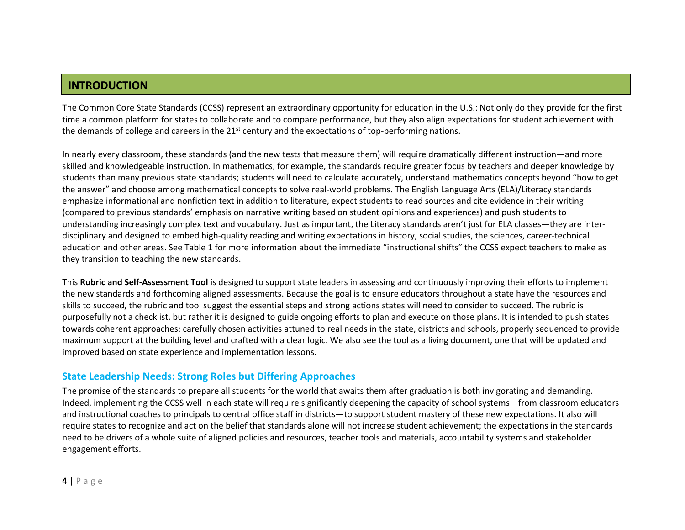### **INTRODUCTION**

The Common Core State Standards (CCSS) represent an extraordinary opportunity for education in the U.S.: Not only do they provide for the first time a common platform for states to collaborate and to compare performance, but they also align expectations for student achievement with the demands of college and careers in the  $21<sup>st</sup>$  century and the expectations of top-performing nations.

In nearly every classroom, these standards (and the new tests that measure them) will require dramatically different instruction—and more skilled and knowledgeable instruction. In mathematics, for example, the standards require greater focus by teachers and deeper knowledge by students than many previous state standards; students will need to calculate accurately, understand mathematics concepts beyond "how to get the answer" and choose among mathematical concepts to solve real-world problems. The English Language Arts (ELA)/Literacy standards emphasize informational and nonfiction text in addition to literature, expect students to read sources and cite evidence in their writing (compared to previous standards' emphasis on narrative writing based on student opinions and experiences) and push students to understanding increasingly complex text and vocabulary. Just as important, the Literacy standards aren't just for ELA classes—they are interdisciplinary and designed to embed high-quality reading and writing expectations in history, social studies, the sciences, career-technical education and other areas. See Table 1 for more information about the immediate "instructional shifts" the CCSS expect teachers to make as they transition to teaching the new standards.

This **Rubric and Self-Assessment Tool** is designed to support state leaders in assessing and continuously improving their efforts to implement the new standards and forthcoming aligned assessments. Because the goal is to ensure educators throughout a state have the resources and skills to succeed, the rubric and tool suggest the essential steps and strong actions states will need to consider to succeed. The rubric is purposefully not a checklist, but rather it is designed to guide ongoing efforts to plan and execute on those plans. It is intended to push states towards coherent approaches: carefully chosen activities attuned to real needs in the state, districts and schools, properly sequenced to provide maximum support at the building level and crafted with a clear logic. We also see the tool as a living document, one that will be updated and improved based on state experience and implementation lessons.

#### <span id="page-4-0"></span>**State Leadership Needs: Strong Roles but Differing Approaches**

The promise of the standards to prepare all students for the world that awaits them after graduation is both invigorating and demanding. Indeed, implementing the CCSS well in each state will require significantly deepening the capacity of school systems—from classroom educators and instructional coaches to principals to central office staff in districts—to support student mastery of these new expectations. It also will require states to recognize and act on the belief that standards alone will not increase student achievement; the expectations in the standards need to be drivers of a whole suite of aligned policies and resources, teacher tools and materials, accountability systems and stakeholder engagement efforts.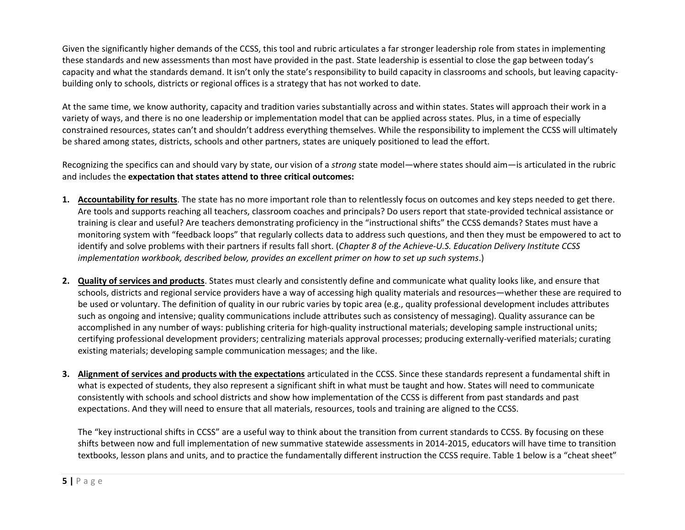Given the significantly higher demands of the CCSS, this tool and rubric articulates a far stronger leadership role from states in implementing these standards and new assessments than most have provided in the past. State leadership is essential to close the gap between today's capacity and what the standards demand. It isn't only the state's responsibility to build capacity in classrooms and schools, but leaving capacitybuilding only to schools, districts or regional offices is a strategy that has not worked to date.

At the same time, we know authority, capacity and tradition varies substantially across and within states. States will approach their work in a variety of ways, and there is no one leadership or implementation model that can be applied across states. Plus, in a time of especially constrained resources, states can't and shouldn't address everything themselves. While the responsibility to implement the CCSS will ultimately be shared among states, districts, schools and other partners, states are uniquely positioned to lead the effort.

Recognizing the specifics can and should vary by state, our vision of a *strong* state model—where states should aim—is articulated in the rubric and includes the **expectation that states attend to three critical outcomes:**

- **1. Accountability for results**. The state has no more important role than to relentlessly focus on outcomes and key steps needed to get there. Are tools and supports reaching all teachers, classroom coaches and principals? Do users report that state-provided technical assistance or training is clear and useful? Are teachers demonstrating proficiency in the "instructional shifts" the CCSS demands? States must have a monitoring system with "feedback loops" that regularly collects data to address such questions, and then they must be empowered to act to identify and solve problems with their partners if results fall short. (*Chapter 8 of the Achieve-U.S. Education Delivery Institute CCSS implementation workbook, described below, provides an excellent primer on how to set up such systems*.)
- **2. Quality of services and products**. States must clearly and consistently define and communicate what quality looks like, and ensure that schools, districts and regional service providers have a way of accessing high quality materials and resources—whether these are required to be used or voluntary. The definition of quality in our rubric varies by topic area (e.g., quality professional development includes attributes such as ongoing and intensive; quality communications include attributes such as consistency of messaging). Quality assurance can be accomplished in any number of ways: publishing criteria for high-quality instructional materials; developing sample instructional units; certifying professional development providers; centralizing materials approval processes; producing externally-verified materials; curating existing materials; developing sample communication messages; and the like.
- **3. Alignment of services and products with the expectations** articulated in the CCSS. Since these standards represent a fundamental shift in what is expected of students, they also represent a significant shift in what must be taught and how. States will need to communicate consistently with schools and school districts and show how implementation of the CCSS is different from past standards and past expectations. And they will need to ensure that all materials, resources, tools and training are aligned to the CCSS.

The "key instructional shifts in CCSS" are a useful way to think about the transition from current standards to CCSS. By focusing on these shifts between now and full implementation of new summative statewide assessments in 2014-2015, educators will have time to transition textbooks, lesson plans and units, and to practice the fundamentally different instruction the CCSS require. Table 1 below is a "cheat sheet"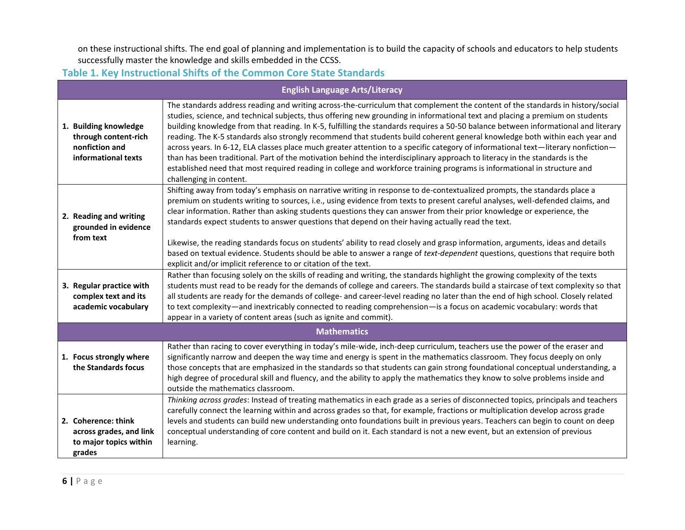on these instructional shifts. The end goal of planning and implementation is to build the capacity of schools and educators to help students successfully master the knowledge and skills embedded in the CCSS.

**Table 1. Key Instructional Shifts of the Common Core State Standards**

| <b>English Language Arts/Literacy</b>                                                  |                                                                                                                                                                                                                                                                                                                                                                                                                                                                                                                                                                                                                                                                                                                                                                                                                                                                                                                                                                 |  |  |  |
|----------------------------------------------------------------------------------------|-----------------------------------------------------------------------------------------------------------------------------------------------------------------------------------------------------------------------------------------------------------------------------------------------------------------------------------------------------------------------------------------------------------------------------------------------------------------------------------------------------------------------------------------------------------------------------------------------------------------------------------------------------------------------------------------------------------------------------------------------------------------------------------------------------------------------------------------------------------------------------------------------------------------------------------------------------------------|--|--|--|
| 1. Building knowledge<br>through content-rich<br>nonfiction and<br>informational texts | The standards address reading and writing across-the-curriculum that complement the content of the standards in history/social<br>studies, science, and technical subjects, thus offering new grounding in informational text and placing a premium on students<br>building knowledge from that reading. In K-5, fulfilling the standards requires a 50-50 balance between informational and literary<br>reading. The K-5 standards also strongly recommend that students build coherent general knowledge both within each year and<br>across years. In 6-12, ELA classes place much greater attention to a specific category of informational text—literary nonfiction—<br>than has been traditional. Part of the motivation behind the interdisciplinary approach to literacy in the standards is the<br>established need that most required reading in college and workforce training programs is informational in structure and<br>challenging in content. |  |  |  |
| 2. Reading and writing<br>grounded in evidence<br>from text                            | Shifting away from today's emphasis on narrative writing in response to de-contextualized prompts, the standards place a<br>premium on students writing to sources, i.e., using evidence from texts to present careful analyses, well-defended claims, and<br>clear information. Rather than asking students questions they can answer from their prior knowledge or experience, the<br>standards expect students to answer questions that depend on their having actually read the text.<br>Likewise, the reading standards focus on students' ability to read closely and grasp information, arguments, ideas and details<br>based on textual evidence. Students should be able to answer a range of text-dependent questions, questions that require both<br>explicit and/or implicit reference to or citation of the text.                                                                                                                                  |  |  |  |
| 3. Regular practice with<br>complex text and its<br>academic vocabulary                | Rather than focusing solely on the skills of reading and writing, the standards highlight the growing complexity of the texts<br>students must read to be ready for the demands of college and careers. The standards build a staircase of text complexity so that<br>all students are ready for the demands of college- and career-level reading no later than the end of high school. Closely related<br>to text complexity—and inextricably connected to reading comprehension—is a focus on academic vocabulary: words that<br>appear in a variety of content areas (such as ignite and commit).                                                                                                                                                                                                                                                                                                                                                            |  |  |  |
|                                                                                        | <b>Mathematics</b>                                                                                                                                                                                                                                                                                                                                                                                                                                                                                                                                                                                                                                                                                                                                                                                                                                                                                                                                              |  |  |  |
| 1. Focus strongly where<br>the Standards focus                                         | Rather than racing to cover everything in today's mile-wide, inch-deep curriculum, teachers use the power of the eraser and<br>significantly narrow and deepen the way time and energy is spent in the mathematics classroom. They focus deeply on only<br>those concepts that are emphasized in the standards so that students can gain strong foundational conceptual understanding, a<br>high degree of procedural skill and fluency, and the ability to apply the mathematics they know to solve problems inside and<br>outside the mathematics classroom.                                                                                                                                                                                                                                                                                                                                                                                                  |  |  |  |
| 2. Coherence: think<br>across grades, and link<br>to major topics within<br>grades     | Thinking across grades: Instead of treating mathematics in each grade as a series of disconnected topics, principals and teachers<br>carefully connect the learning within and across grades so that, for example, fractions or multiplication develop across grade<br>levels and students can build new understanding onto foundations built in previous years. Teachers can begin to count on deep<br>conceptual understanding of core content and build on it. Each standard is not a new event, but an extension of previous<br>learning.                                                                                                                                                                                                                                                                                                                                                                                                                   |  |  |  |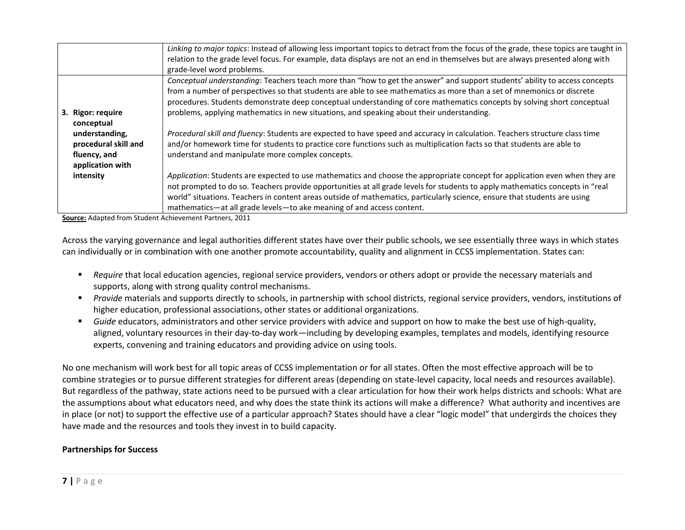|                      | Linking to major topics: Instead of allowing less important topics to detract from the focus of the grade, these topics are taught in |
|----------------------|---------------------------------------------------------------------------------------------------------------------------------------|
|                      | relation to the grade level focus. For example, data displays are not an end in themselves but are always presented along with        |
|                      | grade-level word problems.                                                                                                            |
|                      | Conceptual understanding: Teachers teach more than "how to get the answer" and support students' ability to access concepts           |
|                      | from a number of perspectives so that students are able to see mathematics as more than a set of mnemonics or discrete                |
|                      | procedures. Students demonstrate deep conceptual understanding of core mathematics concepts by solving short conceptual               |
| 3. Rigor: require    | problems, applying mathematics in new situations, and speaking about their understanding.                                             |
| conceptual           |                                                                                                                                       |
| understanding,       | Procedural skill and fluency: Students are expected to have speed and accuracy in calculation. Teachers structure class time          |
| procedural skill and | and/or homework time for students to practice core functions such as multiplication facts so that students are able to                |
| fluency, and         | understand and manipulate more complex concepts.                                                                                      |
| application with     |                                                                                                                                       |
| intensity            | Application: Students are expected to use mathematics and choose the appropriate concept for application even when they are           |
|                      | not prompted to do so. Teachers provide opportunities at all grade levels for students to apply mathematics concepts in "real         |
|                      | world" situations. Teachers in content areas outside of mathematics, particularly science, ensure that students are using             |
|                      | mathematics-at all grade levels-to ake meaning of and access content.                                                                 |

**Source:** Adapted from Student Achievement Partners, 2011

Across the varying governance and legal authorities different states have over their public schools, we see essentially three ways in which states can individually or in combination with one another promote accountability, quality and alignment in CCSS implementation. States can:

- *Require* that local education agencies, regional service providers, vendors or others adopt or provide the necessary materials and supports, along with strong quality control mechanisms.
- *Provide* materials and supports directly to schools, in partnership with school districts, regional service providers, vendors, institutions of higher education, professional associations, other states or additional organizations.
- *Guide* educators, administrators and other service providers with advice and support on how to make the best use of high-quality, aligned, voluntary resources in their day-to-day work—including by developing examples, templates and models, identifying resource experts, convening and training educators and providing advice on using tools.

No one mechanism will work best for all topic areas of CCSS implementation or for all states. Often the most effective approach will be to combine strategies or to pursue different strategies for different areas (depending on state-level capacity, local needs and resources available). But regardless of the pathway, state actions need to be pursued with a clear articulation for how their work helps districts and schools: What are the assumptions about what educators need, and why does the state think its actions will make a difference? What authority and incentives are in place (or not) to support the effective use of a particular approach? States should have a clear "logic model" that undergirds the choices they have made and the resources and tools they invest in to build capacity.

#### **Partnerships for Success**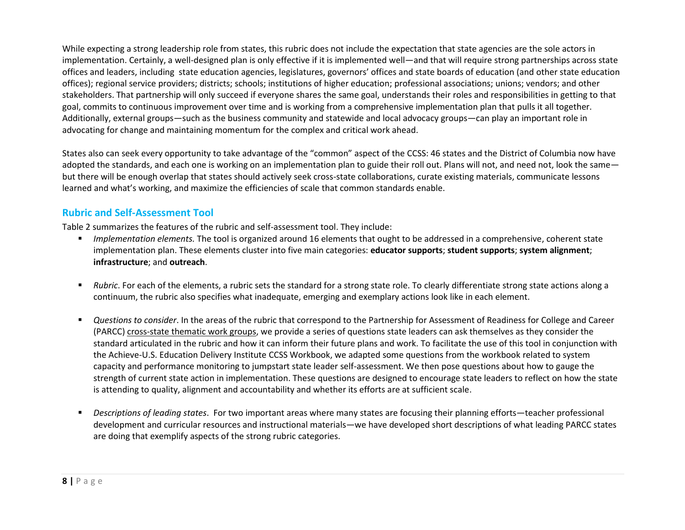While expecting a strong leadership role from states, this rubric does not include the expectation that state agencies are the sole actors in implementation. Certainly, a well-designed plan is only effective if it is implemented well—and that will require strong partnerships across state offices and leaders, including state education agencies, legislatures, governors' offices and state boards of education (and other state education offices); regional service providers; districts; schools; institutions of higher education; professional associations; unions; vendors; and other stakeholders. That partnership will only succeed if everyone shares the same goal, understands their roles and responsibilities in getting to that goal, commits to continuous improvement over time and is working from a comprehensive implementation plan that pulls it all together. Additionally, external groups—such as the business community and statewide and local advocacy groups—can play an important role in advocating for change and maintaining momentum for the complex and critical work ahead.

States also can seek every opportunity to take advantage of the "common" aspect of the CCSS: 46 states and the District of Columbia now have adopted the standards, and each one is working on an implementation plan to guide their roll out. Plans will not, and need not, look the same but there will be enough overlap that states should actively seek cross-state collaborations, curate existing materials, communicate lessons learned and what's working, and maximize the efficiencies of scale that common standards enable.

#### <span id="page-8-0"></span>**Rubric and Self-Assessment Tool**

Table 2 summarizes the features of the rubric and self-assessment tool. They include:

- *Implementation elements.* The tool is organized around 16 elements that ought to be addressed in a comprehensive, coherent state implementation plan. These elements cluster into five main categories: **educator supports**; **student supports**; **system alignment**; **infrastructure**; and **outreach**.
- *Rubric*. For each of the elements, a rubric sets the standard for a strong state role. To clearly differentiate strong state actions along a continuum, the rubric also specifies what inadequate, emerging and exemplary actions look like in each element.
- *Questions to consider*. In the areas of the rubric that correspond to the Partnership for Assessment of Readiness for College and Career (PARCC) cross-state thematic work groups, we provide a series of questions state leaders can ask themselves as they consider the standard articulated in the rubric and how it can inform their future plans and work. To facilitate the use of this tool in conjunction with the Achieve-U.S. Education Delivery Institute CCSS Workbook, we adapted some questions from the workbook related to system capacity and performance monitoring to jumpstart state leader self-assessment. We then pose questions about how to gauge the strength of current state action in implementation. These questions are designed to encourage state leaders to reflect on how the state is attending to quality, alignment and accountability and whether its efforts are at sufficient scale.
- *Descriptions of leading states*. For two important areas where many states are focusing their planning efforts—teacher professional development and curricular resources and instructional materials—we have developed short descriptions of what leading PARCC states are doing that exemplify aspects of the strong rubric categories.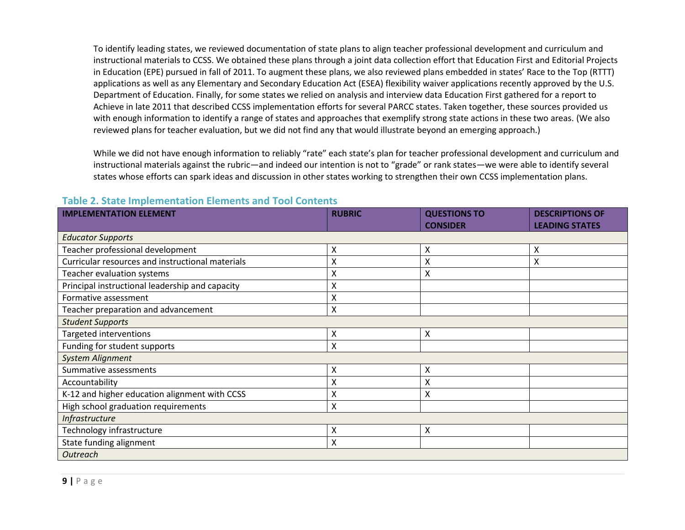To identify leading states, we reviewed documentation of state plans to align teacher professional development and curriculum and instructional materials to CCSS. We obtained these plans through a joint data collection effort that Education First and Editorial Projects in Education (EPE) pursued in fall of 2011. To augment these plans, we also reviewed plans embedded in states' Race to the Top (RTTT) applications as well as any Elementary and Secondary Education Act (ESEA) flexibility waiver applications recently approved by the U.S. Department of Education. Finally, for some states we relied on analysis and interview data Education First gathered for a report to Achieve in late 2011 that described CCSS implementation efforts for several PARCC states. Taken together, these sources provided us with enough information to identify a range of states and approaches that exemplify strong state actions in these two areas. (We also reviewed plans for teacher evaluation, but we did not find any that would illustrate beyond an emerging approach.)

While we did not have enough information to reliably "rate" each state's plan for teacher professional development and curriculum and instructional materials against the rubric—and indeed our intention is not to "grade" or rank states—we were able to identify several states whose efforts can spark ideas and discussion in other states working to strengthen their own CCSS implementation plans.

| <b>IMPLEMENTATION ELEMENT</b>                    | <b>RUBRIC</b>      | <b>QUESTIONS TO</b> | <b>DESCRIPTIONS OF</b> |  |  |  |
|--------------------------------------------------|--------------------|---------------------|------------------------|--|--|--|
|                                                  |                    | <b>CONSIDER</b>     | <b>LEADING STATES</b>  |  |  |  |
| <b>Educator Supports</b>                         |                    |                     |                        |  |  |  |
| Teacher professional development                 | X                  | Χ                   | x                      |  |  |  |
| Curricular resources and instructional materials | Χ                  | Χ                   | Χ                      |  |  |  |
| Teacher evaluation systems                       | Χ                  | X                   |                        |  |  |  |
| Principal instructional leadership and capacity  | Χ                  |                     |                        |  |  |  |
| Formative assessment                             | X                  |                     |                        |  |  |  |
| Teacher preparation and advancement              | $\pmb{\mathsf{X}}$ |                     |                        |  |  |  |
| <b>Student Supports</b>                          |                    |                     |                        |  |  |  |
| Targeted interventions                           | X                  | X                   |                        |  |  |  |
| Funding for student supports                     | X                  |                     |                        |  |  |  |
| <b>System Alignment</b>                          |                    |                     |                        |  |  |  |
| Summative assessments                            | X                  | X                   |                        |  |  |  |
| Accountability                                   | X                  | X                   |                        |  |  |  |
| K-12 and higher education alignment with CCSS    | Χ                  | Χ                   |                        |  |  |  |
| High school graduation requirements              | Χ                  |                     |                        |  |  |  |
| <b>Infrastructure</b>                            |                    |                     |                        |  |  |  |
| Technology infrastructure                        | X                  | Χ                   |                        |  |  |  |
| State funding alignment                          | X                  |                     |                        |  |  |  |
| <b>Outreach</b>                                  |                    |                     |                        |  |  |  |

#### **Table 2. State Implementation Elements and Tool Contents**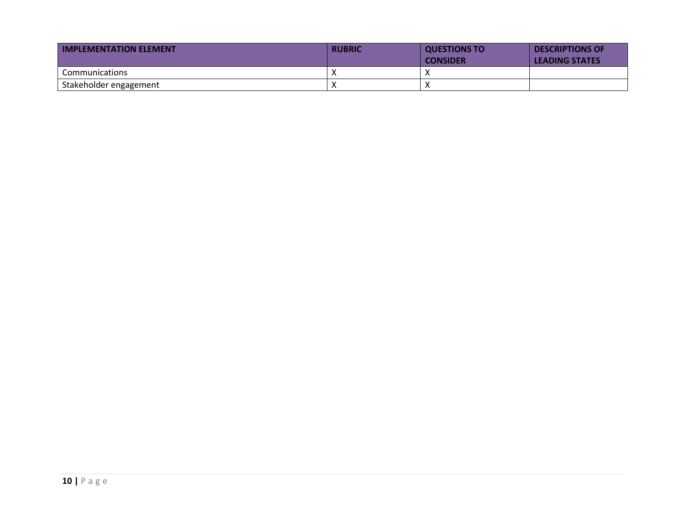| <b>IMPLEMENTATION ELEMENT</b> | <b>RUBRIC</b> | <b>QUESTIONS TO</b><br><b>CONSIDER</b> | <b>DESCRIPTIONS OF</b><br><b>LEADING STATES</b> |
|-------------------------------|---------------|----------------------------------------|-------------------------------------------------|
| <b>Communications</b>         |               |                                        |                                                 |
| Stakeholder engagement        | $\lambda$     |                                        |                                                 |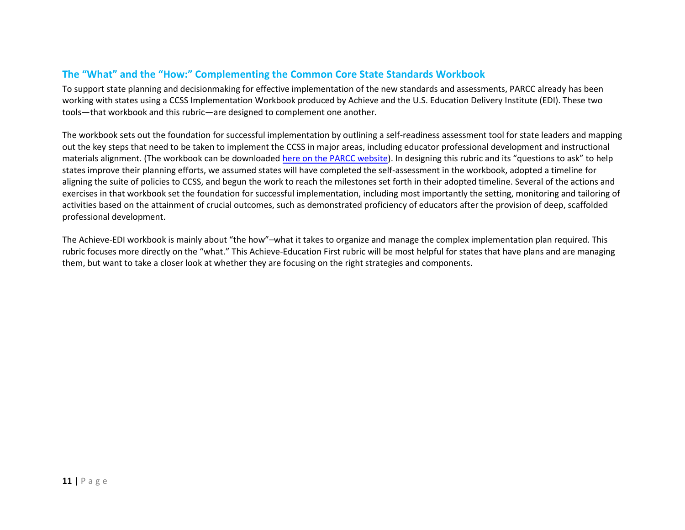### <span id="page-11-0"></span>**The "What" and the "How:" Complementing the Common Core State Standards Workbook**

To support state planning and decisionmaking for effective implementation of the new standards and assessments, PARCC already has been working with states using a CCSS Implementation Workbook produced by Achieve and the U.S. Education Delivery Institute (EDI). These two tools—that workbook and this rubric—are designed to complement one another.

The workbook sets out the foundation for successful implementation by outlining a self-readiness assessment tool for state leaders and mapping out the key steps that need to be taken to implement the CCSS in major areas, including educator professional development and instructional materials alignment. (The workbook can be downloaded here on [the PARCC website\)](http://www.parcconline.org/sites/parcc/files/Common_Core_Workbook.pdf). In designing this rubric and its "questions to ask" to help states improve their planning efforts, we assumed states will have completed the self-assessment in the workbook, adopted a timeline for aligning the suite of policies to CCSS, and begun the work to reach the milestones set forth in their adopted timeline. Several of the actions and exercises in that workbook set the foundation for successful implementation, including most importantly the setting, monitoring and tailoring of activities based on the attainment of crucial outcomes, such as demonstrated proficiency of educators after the provision of deep, scaffolded professional development.

The Achieve-EDI workbook is mainly about "the how"–what it takes to organize and manage the complex implementation plan required. This rubric focuses more directly on the "what." This Achieve-Education First rubric will be most helpful for states that have plans and are managing them, but want to take a closer look at whether they are focusing on the right strategies and components.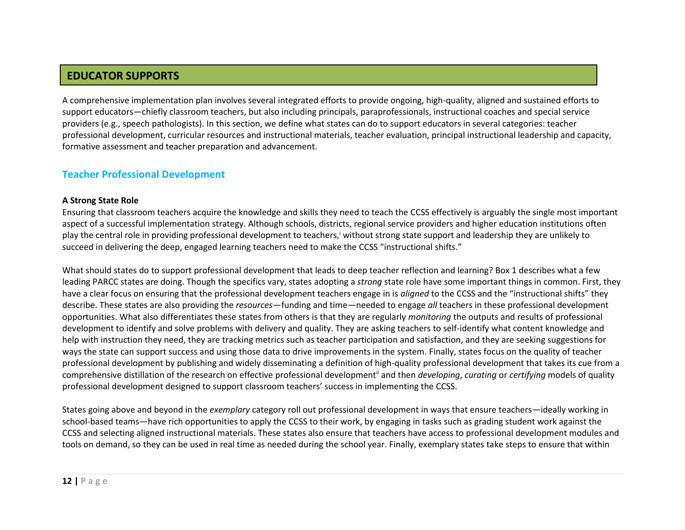## **EDUCATOR SUPPORTS**

A comprehensive implementation plan involves several integrated efforts to provide ongoing, high-quality, aligned and sustained efforts to support educators—chiefly classroom teachers, but also including principals, paraprofessionals, instructional coaches and special service providers (e.g., speech pathologists). In this section, we define what states can do to support educators in several categories: teacher professional development, curricular resources and instructional materials, teacher evaluation, principal instructional leadership and capacity, formative assessment and teacher preparation and advancement.

### <span id="page-12-0"></span>**Teacher Professional Development**

#### **A Strong State Role**

Ensuring that classroom teachers acquire the knowledge and skills they need to teach the CCSS effectively is arguably the single most important aspect of a successful implementation strategy. Although schools, districts, regional service providers and higher education institutions often play the central role in providing professional development to teachers,<sup>i</sup> without strong state support and leadership they are unlikely to succeed in delivering the deep, engaged learning teachers need to make the CCSS "instructional shifts."

What should states do to support professional development that leads to deep teacher reflection and learning? Box 1 describes what a few leading PARCC states are doing. Though the specifics vary, states adopting a *strong* state role have some important things in common. First, they have a clear focus on ensuring that the professional development teachers engage in is *aligned* to the CCSS and the "instructional shifts" they describe. These states are also providing the *resources*—funding and time—needed to engage *all* teachers in these professional development opportunities. What also differentiates these states from others is that they are regularly *monitoring* the outputs and results of professional development to identify and solve problems with delivery and quality. They are asking teachers to self-identify what content knowledge and help with instruction they need, they are tracking metrics such as teacher participation and satisfaction, and they are seeking suggestions for ways the state can support success and using those data to drive improvements in the system. Finally, states focus on the quality of teacher professional development by publishing and widely disseminating a definition of high-quality professional development that takes its cue from a comprehensive distillation of the research on effective professional developmentii and then *developing*, *curating* or *certifying* models of quality professional development designed to support classroom teachers' success in implementing the CCSS.

States going above and beyond in the *exemplary* category roll out professional development in ways that ensure teachers—ideally working in school-based teams—have rich opportunities to apply the CCSS to their work, by engaging in tasks such as grading student work against the CCSS and selecting aligned instructional materials. These states also ensure that teachers have access to professional development modules and tools on demand, so they can be used in real time as needed during the school year. Finally, exemplary states take steps to ensure that within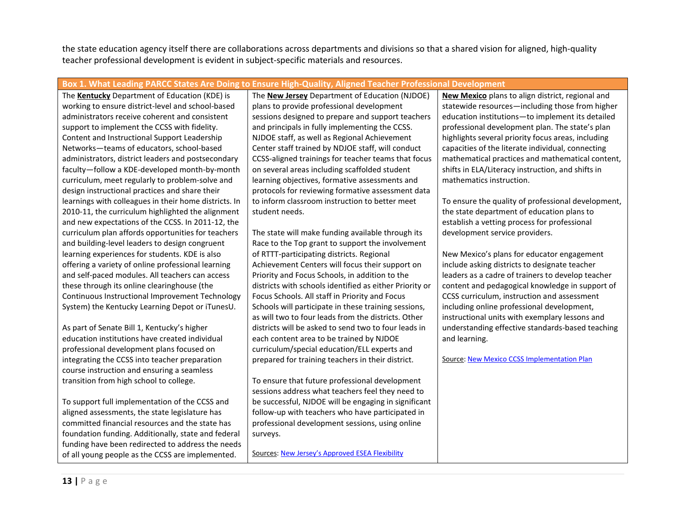the state education agency itself there are collaborations across departments and divisions so that a shared vision for aligned, high-quality teacher professional development is evident in subject-specific materials and resources.

#### **Box 1. What Leading PARCC States Are Doing to Ensure High-Quality, Aligned Teacher Professional Development**

The **Kentucky** Department of Education (KDE) is working to ensure district-level and school-based administrators receive coherent and consistent support to implement the CCSS with fidelity. Content and Instructional Support Leadership Networks—teams of educators, school-based administrators, district leaders and postsecondary faculty—follow a KDE-developed month-by-month curriculum, meet regularly to problem-solve and design instructional practices and share their learnings with colleagues in their home districts. In 2010-11, the curriculum highlighted the alignment and new expectations of the CCSS. In 2011-12, the curriculum plan affords opportunities for teachers and building-level leaders to design congruent learning experiences for students. KDE is also offering a variety of online professional learning and self-paced modules. All teachers can access these through its online clearinghouse (the Continuous Instructional Improvement Technology System) the Kentucky Learning Depot or iTunesU.

As part of Senate Bill 1, Kentucky's higher education institutions have created individual professional development plans focused on integrating the CCSS into teacher preparation course instruction and ensuring a seamless transition from high school to college.

To support full implementation of the CCSS and aligned assessments, the state legislature has committed financial resources and the state has foundation funding. Additionally, state and federal funding have been redirected to address the needs of all young people as the CCSS are implemented.

The **New Jersey** Department of Education (NJDOE) plans to provide professional development sessions designed to prepare and support teachers and principals in fully implementing the CCSS. NJDOE staff, as well as Regional Achievement Center staff trained by NDJOE staff, will conduct CCSS-aligned trainings for teacher teams that focus on several areas including scaffolded student learning objectives, formative assessments and protocols for reviewing formative assessment data to inform classroom instruction to better meet student needs.

The state will make funding available through its Race to the Top grant to support the involvement of RTTT-participating districts. Regional Achievement Centers will focus their support on Priority and Focus Schools, in addition to the districts with schools identified as either Priority or Focus Schools. All staff in Priority and Focus Schools will participate in these training sessions, as will two to four leads from the districts. Other districts will be asked to send two to four leads in each content area to be trained by NJDOE curriculum/special education/ELL experts and prepared for training teachers in their district.

To ensure that future professional development sessions address what teachers feel they need to be successful, NJDOE will be engaging in significant follow-up with teachers who have participated in professional development sessions, using online surveys.

Sources: [New Jersey's Approved ESEA Flexibility](http://www2.ed.gov/policy/eseaflex/approved-requests/nj.pdf) 

**New Mexico** plans to align district, regional and statewide resources—including those from higher education institutions—to implement its detailed professional development plan. The state's plan highlights several priority focus areas, including capacities of the literate individual, connecting mathematical practices and mathematical content, shifts in ELA/Literacy instruction, and shifts in mathematics instruction.

To ensure the quality of professional development, the state department of education plans to establish a vetting process for professional development service providers.

New Mexico's plans for educator engagement include asking districts to designate teacher leaders as a cadre of trainers to develop teacher content and pedagogical knowledge in support of CCSS curriculum, instruction and assessment including online professional development, instructional units with exemplary lessons and understanding effective standards-based teaching and learning.

Source[: New Mexico CCSS Implementation Plan](http://sde.state.nm.us/CCS/docs/NMCCSSImplementationPlan.pdf)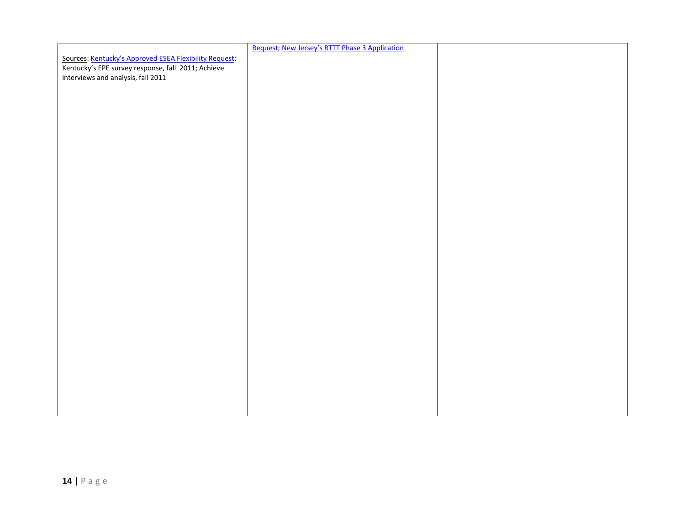|                                                                                          | Request; New Jersey's RTTT Phase 3 Application |  |
|------------------------------------------------------------------------------------------|------------------------------------------------|--|
| Sources: Kentucky's Approved ESEA Flexibility Request;                                   |                                                |  |
| Kentucky's EPE survey response, fall 2011; Achieve<br>interviews and analysis, fall 2011 |                                                |  |
|                                                                                          |                                                |  |
|                                                                                          |                                                |  |
|                                                                                          |                                                |  |
|                                                                                          |                                                |  |
|                                                                                          |                                                |  |
|                                                                                          |                                                |  |
|                                                                                          |                                                |  |
|                                                                                          |                                                |  |
|                                                                                          |                                                |  |
|                                                                                          |                                                |  |
|                                                                                          |                                                |  |
|                                                                                          |                                                |  |
|                                                                                          |                                                |  |
|                                                                                          |                                                |  |
|                                                                                          |                                                |  |
|                                                                                          |                                                |  |
|                                                                                          |                                                |  |
|                                                                                          |                                                |  |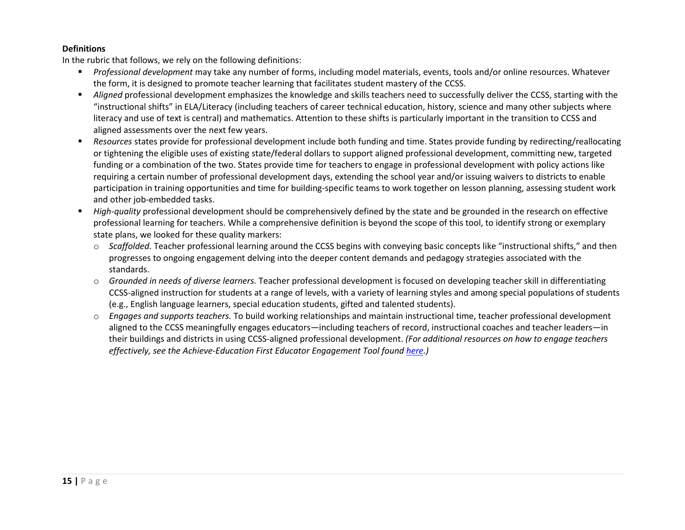#### **Definitions**

In the rubric that follows, we rely on the following definitions:

- *Professional development* may take any number of forms, including model materials, events, tools and/or online resources. Whatever the form, it is designed to promote teacher learning that facilitates student mastery of the CCSS.
- *Aligned* professional development emphasizes the knowledge and skills teachers need to successfully deliver the CCSS, starting with the "instructional shifts" in ELA/Literacy (including teachers of career technical education, history, science and many other subjects where literacy and use of text is central) and mathematics. Attention to these shifts is particularly important in the transition to CCSS and aligned assessments over the next few years.
- *Resources* states provide for professional development include both funding and time. States provide funding by redirecting/reallocating or tightening the eligible uses of existing state/federal dollars to support aligned professional development, committing new, targeted funding or a combination of the two. States provide time for teachers to engage in professional development with policy actions like requiring a certain number of professional development days, extending the school year and/or issuing waivers to districts to enable participation in training opportunities and time for building-specific teams to work together on lesson planning, assessing student work and other job-embedded tasks.
- *High-quality* professional development should be comprehensively defined by the state and be grounded in the research on effective professional learning for teachers. While a comprehensive definition is beyond the scope of this tool, to identify strong or exemplary state plans, we looked for these quality markers:
	- o *Scaffolded.* Teacher professional learning around the CCSS begins with conveying basic concepts like "instructional shifts," and then progresses to ongoing engagement delving into the deeper content demands and pedagogy strategies associated with the standards.
	- o *Grounded in needs of diverse learners.* Teacher professional development is focused on developing teacher skill in differentiating CCSS-aligned instruction for students at a range of levels, with a variety of learning styles and among special populations of students (e.g., English language learners, special education students, gifted and talented students).
	- o *Engages and supports teachers.* To build working relationships and maintain instructional time, teacher professional development aligned to the CCSS meaningfully engages educators—including teachers of record, instructional coaches and teacher leaders—in their buildings and districts in using CCSS-aligned professional development. *(For additional resources on how to engage teachers effectively, see the Achieve-Education First Educator Engagement Tool foun[d here.](http://www.parcconline.org/sites/parcc/files/Engaging%20Educators%20Tool%20v%2010.pdf))*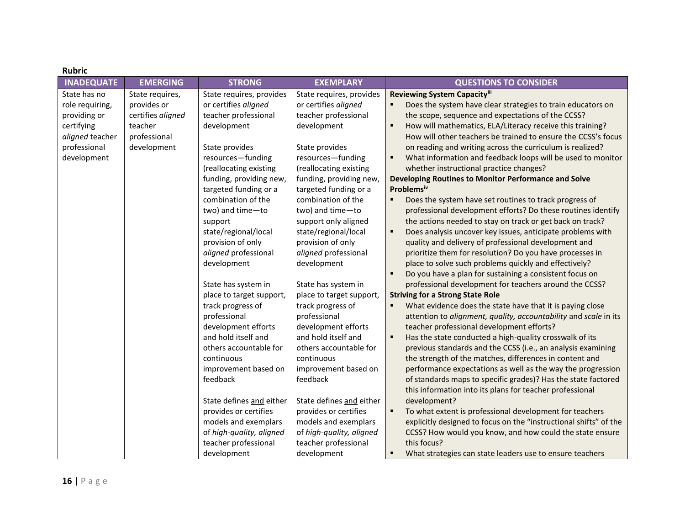| <b>Rubric</b>                                                                                                   |                                                                                               |                                                                                                                                                                                                                                                                                                                                                                                                                                                                      |                                                                                                                                                                                                                                                                                                                                                                                                                                                                                   |                                                                                                                                                                                                                                                                                                                                                                                                                                                                                                                                                                                                                                                                                                                                                                                                                                                                                                                                                                                                                                                                                                                                                                                                                                                                                                                                                                                                                         |
|-----------------------------------------------------------------------------------------------------------------|-----------------------------------------------------------------------------------------------|----------------------------------------------------------------------------------------------------------------------------------------------------------------------------------------------------------------------------------------------------------------------------------------------------------------------------------------------------------------------------------------------------------------------------------------------------------------------|-----------------------------------------------------------------------------------------------------------------------------------------------------------------------------------------------------------------------------------------------------------------------------------------------------------------------------------------------------------------------------------------------------------------------------------------------------------------------------------|-------------------------------------------------------------------------------------------------------------------------------------------------------------------------------------------------------------------------------------------------------------------------------------------------------------------------------------------------------------------------------------------------------------------------------------------------------------------------------------------------------------------------------------------------------------------------------------------------------------------------------------------------------------------------------------------------------------------------------------------------------------------------------------------------------------------------------------------------------------------------------------------------------------------------------------------------------------------------------------------------------------------------------------------------------------------------------------------------------------------------------------------------------------------------------------------------------------------------------------------------------------------------------------------------------------------------------------------------------------------------------------------------------------------------|
| <b>INADEQUATE</b>                                                                                               | <b>EMERGING</b>                                                                               | <b>STRONG</b>                                                                                                                                                                                                                                                                                                                                                                                                                                                        | <b>EXEMPLARY</b>                                                                                                                                                                                                                                                                                                                                                                                                                                                                  | <b>QUESTIONS TO CONSIDER</b>                                                                                                                                                                                                                                                                                                                                                                                                                                                                                                                                                                                                                                                                                                                                                                                                                                                                                                                                                                                                                                                                                                                                                                                                                                                                                                                                                                                            |
| State has no<br>role requiring,<br>providing or<br>certifying<br>aligned teacher<br>professional<br>development | State requires,<br>provides or<br>certifies aligned<br>teacher<br>professional<br>development | State requires, provides<br>or certifies aligned<br>teacher professional<br>development<br>State provides<br>resources-funding<br>(reallocating existing<br>funding, providing new,<br>targeted funding or a<br>combination of the<br>two) and time-to<br>support<br>state/regional/local<br>provision of only<br>aligned professional<br>development<br>State has system in<br>place to target support,<br>track progress of<br>professional<br>development efforts | State requires, provides<br>or certifies aligned<br>teacher professional<br>development<br>State provides<br>resources-funding<br>(reallocating existing<br>funding, providing new,<br>targeted funding or a<br>combination of the<br>two) and time-to<br>support only aligned<br>state/regional/local<br>provision of only<br>aligned professional<br>development<br>State has system in<br>place to target support,<br>track progress of<br>professional<br>development efforts | Reviewing System Capacityiii<br>Does the system have clear strategies to train educators on<br>the scope, sequence and expectations of the CCSS?<br>$\blacksquare$<br>How will mathematics, ELA/Literacy receive this training?<br>How will other teachers be trained to ensure the CCSS's focus<br>on reading and writing across the curriculum is realized?<br>$\blacksquare$<br>What information and feedback loops will be used to monitor<br>whether instructional practice changes?<br>Developing Routines to Monitor Performance and Solve<br>Problemsiv<br>Does the system have set routines to track progress of<br>$\blacksquare$<br>professional development efforts? Do these routines identify<br>the actions needed to stay on track or get back on track?<br>$\blacksquare$<br>Does analysis uncover key issues, anticipate problems with<br>quality and delivery of professional development and<br>prioritize them for resolution? Do you have processes in<br>place to solve such problems quickly and effectively?<br>$\blacksquare$<br>Do you have a plan for sustaining a consistent focus on<br>professional development for teachers around the CCSS?<br><b>Striving for a Strong State Role</b><br>$\blacksquare$<br>What evidence does the state have that it is paying close<br>attention to alignment, quality, accountability and scale in its<br>teacher professional development efforts? |
|                                                                                                                 |                                                                                               | and hold itself and<br>others accountable for<br>continuous<br>improvement based on<br>feedback                                                                                                                                                                                                                                                                                                                                                                      | and hold itself and<br>others accountable for<br>continuous<br>improvement based on<br>feedback                                                                                                                                                                                                                                                                                                                                                                                   | $\blacksquare$<br>Has the state conducted a high-quality crosswalk of its<br>previous standards and the CCSS (i.e., an analysis examining<br>the strength of the matches, differences in content and<br>performance expectations as well as the way the progression<br>of standards maps to specific grades)? Has the state factored                                                                                                                                                                                                                                                                                                                                                                                                                                                                                                                                                                                                                                                                                                                                                                                                                                                                                                                                                                                                                                                                                    |
|                                                                                                                 |                                                                                               | State defines and either<br>provides or certifies<br>models and exemplars<br>of high-quality, aligned<br>teacher professional<br>development                                                                                                                                                                                                                                                                                                                         | State defines and either<br>provides or certifies<br>models and exemplars<br>of high-quality, aligned<br>teacher professional<br>development                                                                                                                                                                                                                                                                                                                                      | this information into its plans for teacher professional<br>development?<br>$\blacksquare$<br>To what extent is professional development for teachers<br>explicitly designed to focus on the "instructional shifts" of the<br>CCSS? How would you know, and how could the state ensure<br>this focus?<br>What strategies can state leaders use to ensure teachers                                                                                                                                                                                                                                                                                                                                                                                                                                                                                                                                                                                                                                                                                                                                                                                                                                                                                                                                                                                                                                                       |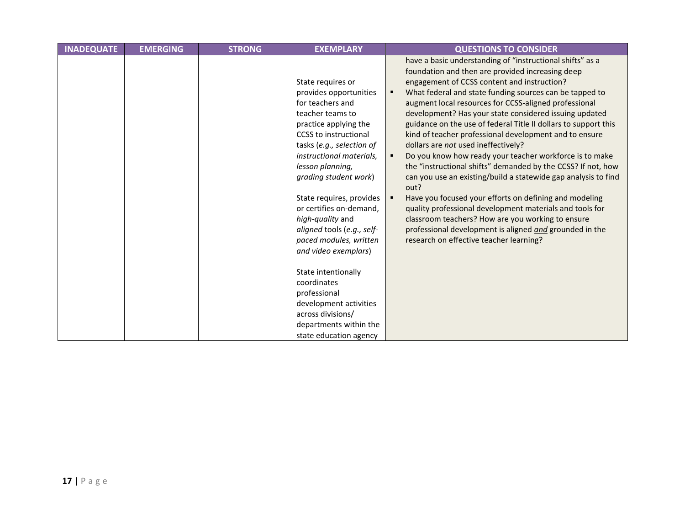| <b>INADEQUATE</b> | <b>EMERGING</b> | <b>STRONG</b> | <b>EXEMPLARY</b>                                                                                                                                                                                                                                                                                                                                                                                              | <b>QUESTIONS TO CONSIDER</b>                                                                                                                                                                                                                                                                                                                                                                                                                                                                                                                                                                                                                                                                                                                                                                                                                                                                                                                                                                              |
|-------------------|-----------------|---------------|---------------------------------------------------------------------------------------------------------------------------------------------------------------------------------------------------------------------------------------------------------------------------------------------------------------------------------------------------------------------------------------------------------------|-----------------------------------------------------------------------------------------------------------------------------------------------------------------------------------------------------------------------------------------------------------------------------------------------------------------------------------------------------------------------------------------------------------------------------------------------------------------------------------------------------------------------------------------------------------------------------------------------------------------------------------------------------------------------------------------------------------------------------------------------------------------------------------------------------------------------------------------------------------------------------------------------------------------------------------------------------------------------------------------------------------|
|                   |                 |               | State requires or<br>provides opportunities<br>for teachers and<br>teacher teams to<br>practice applying the<br><b>CCSS</b> to instructional<br>tasks (e.g., selection of<br>instructional materials,<br>lesson planning,<br>grading student work)<br>State requires, provides<br>or certifies on-demand,<br>high-quality and<br>aligned tools (e.g., self-<br>paced modules, written<br>and video exemplars) | have a basic understanding of "instructional shifts" as a<br>foundation and then are provided increasing deep<br>engagement of CCSS content and instruction?<br>What federal and state funding sources can be tapped to<br>п<br>augment local resources for CCSS-aligned professional<br>development? Has your state considered issuing updated<br>guidance on the use of federal Title II dollars to support this<br>kind of teacher professional development and to ensure<br>dollars are not used ineffectively?<br>Do you know how ready your teacher workforce is to make<br>the "instructional shifts" demanded by the CCSS? If not, how<br>can you use an existing/build a statewide gap analysis to find<br>out?<br>Have you focused your efforts on defining and modeling<br>quality professional development materials and tools for<br>classroom teachers? How are you working to ensure<br>professional development is aligned and grounded in the<br>research on effective teacher learning? |
|                   |                 |               | State intentionally<br>coordinates<br>professional                                                                                                                                                                                                                                                                                                                                                            |                                                                                                                                                                                                                                                                                                                                                                                                                                                                                                                                                                                                                                                                                                                                                                                                                                                                                                                                                                                                           |
|                   |                 |               | development activities                                                                                                                                                                                                                                                                                                                                                                                        |                                                                                                                                                                                                                                                                                                                                                                                                                                                                                                                                                                                                                                                                                                                                                                                                                                                                                                                                                                                                           |
|                   |                 |               | across divisions/                                                                                                                                                                                                                                                                                                                                                                                             |                                                                                                                                                                                                                                                                                                                                                                                                                                                                                                                                                                                                                                                                                                                                                                                                                                                                                                                                                                                                           |
|                   |                 |               | departments within the                                                                                                                                                                                                                                                                                                                                                                                        |                                                                                                                                                                                                                                                                                                                                                                                                                                                                                                                                                                                                                                                                                                                                                                                                                                                                                                                                                                                                           |
|                   |                 |               | state education agency                                                                                                                                                                                                                                                                                                                                                                                        |                                                                                                                                                                                                                                                                                                                                                                                                                                                                                                                                                                                                                                                                                                                                                                                                                                                                                                                                                                                                           |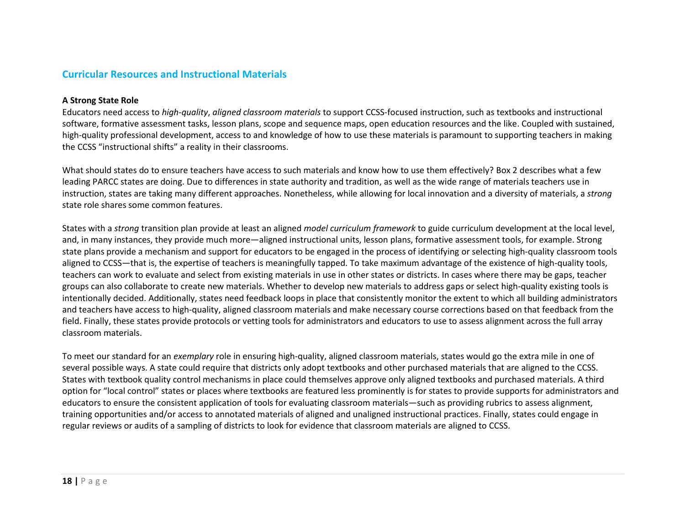#### <span id="page-18-0"></span>**Curricular Resources and Instructional Materials**

#### **A Strong State Role**

Educators need access to *high-quality*, *aligned classroom materials* to support CCSS-focused instruction, such as textbooks and instructional software, formative assessment tasks, lesson plans, scope and sequence maps, open education resources and the like. Coupled with sustained, high-quality professional development, access to and knowledge of how to use these materials is paramount to supporting teachers in making the CCSS "instructional shifts" a reality in their classrooms.

What should states do to ensure teachers have access to such materials and know how to use them effectively? Box 2 describes what a few leading PARCC states are doing. Due to differences in state authority and tradition, as well as the wide range of materials teachers use in instruction, states are taking many different approaches. Nonetheless, while allowing for local innovation and a diversity of materials, a *strong* state role shares some common features.

States with a *strong* transition plan provide at least an aligned *model curriculum framework* to guide curriculum development at the local level, and, in many instances, they provide much more—aligned instructional units, lesson plans, formative assessment tools, for example. Strong state plans provide a mechanism and support for educators to be engaged in the process of identifying or selecting high-quality classroom tools aligned to CCSS—that is, the expertise of teachers is meaningfully tapped. To take maximum advantage of the existence of high-quality tools, teachers can work to evaluate and select from existing materials in use in other states or districts. In cases where there may be gaps, teacher groups can also collaborate to create new materials. Whether to develop new materials to address gaps or select high-quality existing tools is intentionally decided. Additionally, states need feedback loops in place that consistently monitor the extent to which all building administrators and teachers have access to high-quality, aligned classroom materials and make necessary course corrections based on that feedback from the field. Finally, these states provide protocols or vetting tools for administrators and educators to use to assess alignment across the full array classroom materials.

To meet our standard for an *exemplary* role in ensuring high-quality, aligned classroom materials, states would go the extra mile in one of several possible ways. A state could require that districts only adopt textbooks and other purchased materials that are aligned to the CCSS. States with textbook quality control mechanisms in place could themselves approve only aligned textbooks and purchased materials. A third option for "local control" states or places where textbooks are featured less prominently is for states to provide supports for administrators and educators to ensure the consistent application of tools for evaluating classroom materials—such as providing rubrics to assess alignment, training opportunities and/or access to annotated materials of aligned and unaligned instructional practices. Finally, states could engage in regular reviews or audits of a sampling of districts to look for evidence that classroom materials are aligned to CCSS.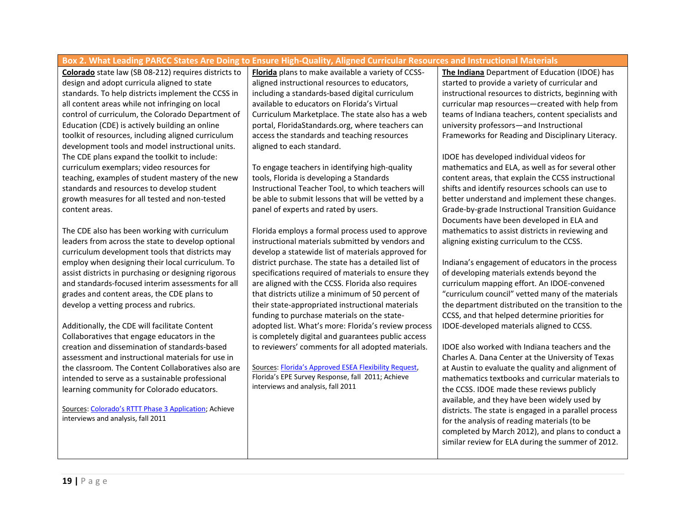#### **Box 2. What Leading PARCC States Are Doing to Ensure High-Quality, Aligned Curricular Resources and Instructional Materials**

**Colorado** state law (SB 08-212) requires districts to design and adopt curricula aligned to state standards. To help districts implement the CCSS in all content areas while not infringing on local control of curriculum, the Colorado Department of Education (CDE) is actively building an online toolkit of resources, including aligned curriculum development tools and model instructional units. The CDE plans expand the toolkit to include: curriculum exemplars; video resources for teaching, examples of student mastery of the new standards and resources to develop student growth measures for all tested and non-tested content areas.

The CDE also has been working with curriculum leaders from across the state to develop optional curriculum development tools that districts may employ when designing their local curriculum. To assist districts in purchasing or designing rigorous and standards-focused interim assessments for all grades and content areas, the CDE plans to develop a vetting process and rubrics.

Additionally, the CDE will facilitate Content Collaboratives that engage educators in the creation and dissemination of standards-based assessment and instructional materials for use in the classroom. The Content Collaboratives also are intended to serve as a sustainable professional learning community for Colorado educators.

Sources: [Colorado's RTTT Phase 3 Application](http://www2.ed.gov/programs/racetothetop/phase3-applications/colorado-2.pdf); Achieve interviews and analysis, fall 2011

**Florida** plans to make available a variety of CCSSaligned instructional resources to educators, including a standards-based digital curriculum available to educators on Florida's Virtual Curriculum Marketplace. The state also has a web portal, FloridaStandards.org, where teachers can access the standards and teaching resources aligned to each standard.

To engage teachers in identifying high-quality tools, Florida is developing a Standards Instructional Teacher Tool, to which teachers will be able to submit lessons that will be vetted by a panel of experts and rated by users.

Florida employs a formal process used to approve instructional materials submitted by vendors and develop a statewide list of materials approved for district purchase. The state has a detailed list of specifications required of materials to ensure they are aligned with the CCSS. Florida also requires that districts utilize a minimum of 50 percent of their state-appropriated instructional materials funding to purchase materials on the stateadopted list. What's more: Florida's review process is completely digital and guarantees public access to reviewers' comments for all adopted materials.

Sources: [Florida's Approved ESEA Flexibility Request](http://www2.ed.gov/policy/eseaflex/approved-requests/fl.pdf), Florida's EPE Survey Response, fall 2011; Achieve interviews and analysis, fall 2011

**The Indiana** Department of Education (IDOE) has started to provide a variety of curricular and instructional resources to districts, beginning with curricular map resources—created with help from teams of Indiana teachers, content specialists and university professors—and Instructional Frameworks for Reading and Disciplinary Literacy.

IDOE has developed individual videos for mathematics and ELA, as well as for several other content areas, that explain the CCSS instructional shifts and identify resources schools can use to better understand and implement these changes. Grade-by-grade Instructional Transition Guidance Documents have been developed in ELA and mathematics to assist districts in reviewing and aligning existing curriculum to the CCSS.

Indiana's engagement of educators in the process of developing materials extends beyond the curriculum mapping effort. An IDOE-convened "curriculum council" vetted many of the materials the department distributed on the transition to the CCSS, and that helped determine priorities for IDOE-developed materials aligned to CCSS.

IDOE also worked with Indiana teachers and the Charles A. Dana Center at the University of Texas at Austin to evaluate the quality and alignment of mathematics textbooks and curricular materials to the CCSS. IDOE made these reviews publicly available, and they have been widely used by districts. The state is engaged in a parallel process for the analysis of reading materials (to be completed by March 2012), and plans to conduct a similar review for ELA during the summer of 2012.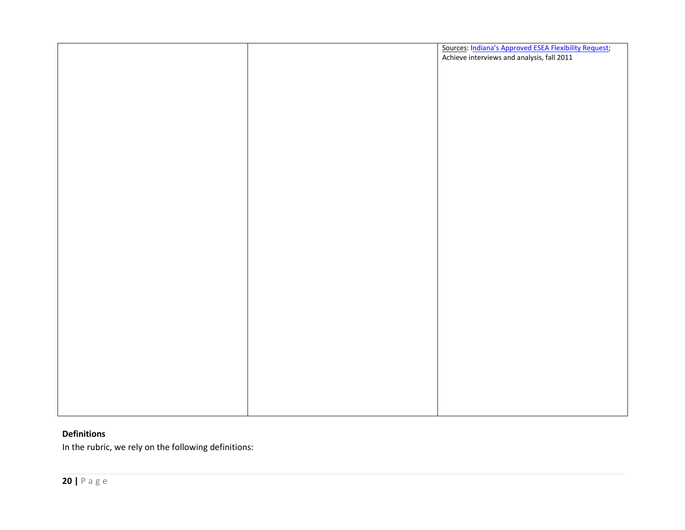|  | Sources: Indiana's Approved ESEA Flexibility Request; |
|--|-------------------------------------------------------|
|  | Achieve interviews and analysis, fall 2011            |
|  |                                                       |
|  |                                                       |
|  |                                                       |
|  |                                                       |
|  |                                                       |
|  |                                                       |
|  |                                                       |
|  |                                                       |
|  |                                                       |
|  |                                                       |
|  |                                                       |
|  |                                                       |
|  |                                                       |
|  |                                                       |
|  |                                                       |
|  |                                                       |
|  |                                                       |
|  |                                                       |
|  |                                                       |
|  |                                                       |
|  |                                                       |
|  |                                                       |
|  |                                                       |
|  |                                                       |
|  |                                                       |
|  |                                                       |
|  |                                                       |
|  |                                                       |
|  |                                                       |
|  |                                                       |
|  |                                                       |
|  |                                                       |
|  |                                                       |
|  |                                                       |
|  |                                                       |
|  |                                                       |
|  |                                                       |
|  |                                                       |
|  |                                                       |

#### **Definitions**

In the rubric, we rely on the following definitions: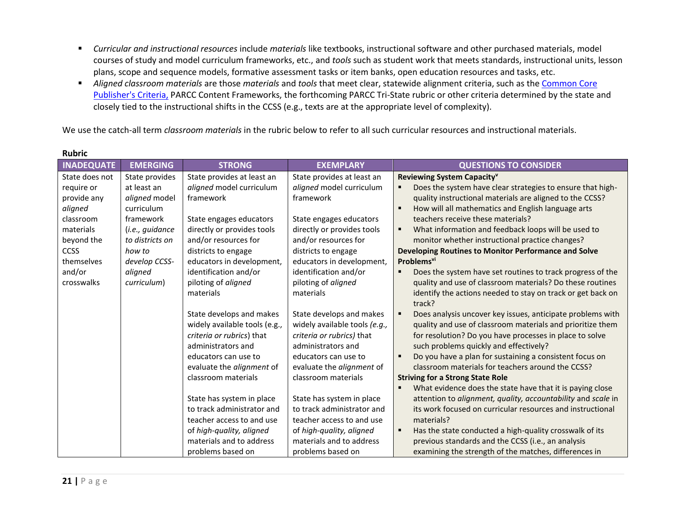- *Curricular and instructional resources* include *materials* like textbooks, instructional software and other purchased materials, model courses of study and model curriculum frameworks, etc., and *tools* such as student work that meets standards, instructional units, lesson plans, scope and sequence models, formative assessment tasks or item banks, open education resources and tasks, etc.
- *Aligned classroom materials* are those *materials* and *tools* that meet clear, statewide alignment criteria, such as the [Common Core](http://www.achievethecore.org/steal-these-tools)  [Publisher's Criteria,](http://www.achievethecore.org/steal-these-tools) PARCC Content Frameworks, the forthcoming PARCC Tri-State rubric or other criteria determined by the state and closely tied to the instructional shifts in the CCSS (e.g., texts are at the appropriate level of complexity).

We use the catch-all term *classroom materials* in the rubric below to refer to all such curricular resources and instructional materials.

| <b>INADEQUATE</b> | <b>EMERGING</b> | <b>STRONG</b>                    | <b>EXEMPLARY</b>                 | <b>QUESTIONS TO CONSIDER</b>                                              |
|-------------------|-----------------|----------------------------------|----------------------------------|---------------------------------------------------------------------------|
| State does not    | State provides  | State provides at least an       | State provides at least an       | Reviewing System Capacity <sup>v</sup>                                    |
| require or        | at least an     | aligned model curriculum         | aligned model curriculum         | Does the system have clear strategies to ensure that high-                |
| provide any       | aligned model   | framework                        | framework                        | quality instructional materials are aligned to the CCSS?                  |
| aligned           | curriculum      |                                  |                                  | How will all mathematics and English language arts<br>п                   |
| classroom         | framework       | State engages educators          | State engages educators          | teachers receive these materials?                                         |
| materials         | (i.e., guidance | directly or provides tools       | directly or provides tools       | What information and feedback loops will be used to                       |
| beyond the        | to districts on | and/or resources for             | and/or resources for             | monitor whether instructional practice changes?                           |
| <b>CCSS</b>       | how to          | districts to engage              | districts to engage              | Developing Routines to Monitor Performance and Solve                      |
| themselves        | develop CCSS-   | educators in development,        | educators in development,        | Problems <sup>vi</sup>                                                    |
| and/or            | aligned         | identification and/or            | identification and/or            | Does the system have set routines to track progress of the                |
| crosswalks        | curriculum)     | piloting of aligned              | piloting of aligned              | quality and use of classroom materials? Do these routines                 |
|                   |                 | materials                        | materials                        | identify the actions needed to stay on track or get back on               |
|                   |                 |                                  |                                  | track?                                                                    |
|                   |                 | State develops and makes         | State develops and makes         | Does analysis uncover key issues, anticipate problems with                |
|                   |                 | widely available tools (e.g.,    | widely available tools (e.g.,    | quality and use of classroom materials and prioritize them                |
|                   |                 | criteria or rubrics) that        | criteria or rubrics) that        | for resolution? Do you have processes in place to solve                   |
|                   |                 | administrators and               | administrators and               | such problems quickly and effectively?                                    |
|                   |                 | educators can use to             | educators can use to             | Do you have a plan for sustaining a consistent focus on<br>$\blacksquare$ |
|                   |                 | evaluate the <i>alignment</i> of | evaluate the <i>alignment</i> of | classroom materials for teachers around the CCSS?                         |
|                   |                 | classroom materials              | classroom materials              | <b>Striving for a Strong State Role</b>                                   |
|                   |                 |                                  |                                  | What evidence does the state have that it is paying close                 |
|                   |                 | State has system in place        | State has system in place        | attention to alignment, quality, accountability and scale in              |
|                   |                 | to track administrator and       | to track administrator and       | its work focused on curricular resources and instructional                |
|                   |                 | teacher access to and use        | teacher access to and use        | materials?                                                                |
|                   |                 | of high-quality, aligned         | of high-quality, aligned         | Has the state conducted a high-quality crosswalk of its                   |
|                   |                 | materials and to address         | materials and to address         | previous standards and the CCSS (i.e., an analysis                        |
|                   |                 | problems based on                | problems based on                | examining the strength of the matches, differences in                     |

#### **Rubric**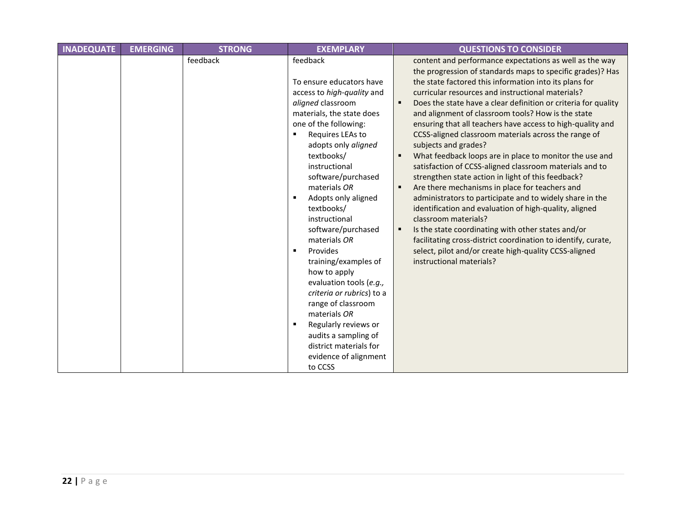| <b>INADEQUATE</b> | <b>EMERGING</b> | <b>STRONG</b> | <b>EXEMPLARY</b>                                                                                                                                                                                                                                                                                                                                                                                                                                                                                                                                                                                                                            | <b>QUESTIONS TO CONSIDER</b>                                                                                                                                                                                                                                                                                                                                                                                                                                                                                                                                                                                                                                                                                                                                                                                                                                                                                                                                                                                                                                                                                         |
|-------------------|-----------------|---------------|---------------------------------------------------------------------------------------------------------------------------------------------------------------------------------------------------------------------------------------------------------------------------------------------------------------------------------------------------------------------------------------------------------------------------------------------------------------------------------------------------------------------------------------------------------------------------------------------------------------------------------------------|----------------------------------------------------------------------------------------------------------------------------------------------------------------------------------------------------------------------------------------------------------------------------------------------------------------------------------------------------------------------------------------------------------------------------------------------------------------------------------------------------------------------------------------------------------------------------------------------------------------------------------------------------------------------------------------------------------------------------------------------------------------------------------------------------------------------------------------------------------------------------------------------------------------------------------------------------------------------------------------------------------------------------------------------------------------------------------------------------------------------|
|                   |                 | feedback      | feedback<br>To ensure educators have<br>access to high-quality and<br>aligned classroom<br>materials, the state does<br>one of the following:<br>Requires LEAs to<br>adopts only aligned<br>textbooks/<br>instructional<br>software/purchased<br>materials OR<br>Adopts only aligned<br>textbooks/<br>instructional<br>software/purchased<br>materials OR<br>Provides<br>$\blacksquare$<br>training/examples of<br>how to apply<br>evaluation tools (e.g.,<br>criteria or rubrics) to a<br>range of classroom<br>materials OR<br>Regularly reviews or<br>audits a sampling of<br>district materials for<br>evidence of alignment<br>to CCSS | content and performance expectations as well as the way<br>the progression of standards maps to specific grades)? Has<br>the state factored this information into its plans for<br>curricular resources and instructional materials?<br>Does the state have a clear definition or criteria for quality<br>$\blacksquare$<br>and alignment of classroom tools? How is the state<br>ensuring that all teachers have access to high-quality and<br>CCSS-aligned classroom materials across the range of<br>subjects and grades?<br>What feedback loops are in place to monitor the use and<br>satisfaction of CCSS-aligned classroom materials and to<br>strengthen state action in light of this feedback?<br>Are there mechanisms in place for teachers and<br>administrators to participate and to widely share in the<br>identification and evaluation of high-quality, aligned<br>classroom materials?<br>Is the state coordinating with other states and/or<br>facilitating cross-district coordination to identify, curate,<br>select, pilot and/or create high-quality CCSS-aligned<br>instructional materials? |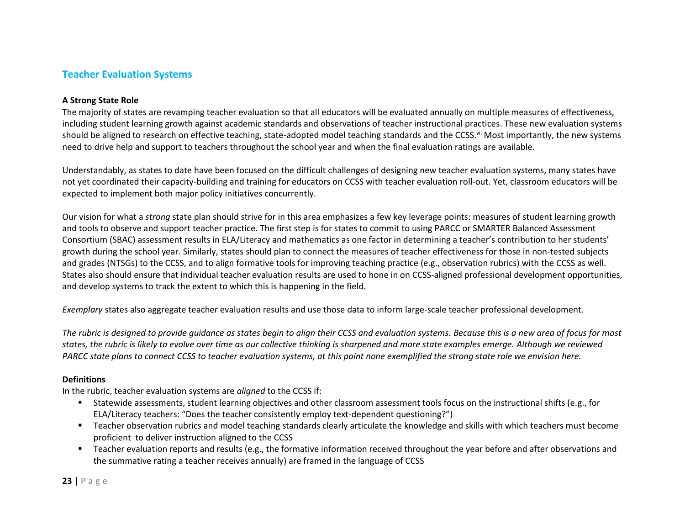### <span id="page-23-0"></span>**Teacher Evaluation Systems**

#### **A Strong State Role**

The majority of states are revamping teacher evaluation so that all educators will be evaluated annually on multiple measures of effectiveness, including student learning growth against academic standards and observations of teacher instructional practices. These new evaluation systems should be aligned to research on effective teaching, state-adopted model teaching standards and the CCSS.<sup>vii</sup> Most importantly, the new systems need to drive help and support to teachers throughout the school year and when the final evaluation ratings are available.

Understandably, as states to date have been focused on the difficult challenges of designing new teacher evaluation systems, many states have not yet coordinated their capacity-building and training for educators on CCSS with teacher evaluation roll-out. Yet, classroom educators will be expected to implement both major policy initiatives concurrently.

Our vision for what a *strong* state plan should strive for in this area emphasizes a few key leverage points: measures of student learning growth and tools to observe and support teacher practice. The first step is for states to commit to using PARCC or SMARTER Balanced Assessment Consortium (SBAC) assessment results in ELA/Literacy and mathematics as one factor in determining a teacher's contribution to her students' growth during the school year. Similarly, states should plan to connect the measures of teacher effectiveness for those in non-tested subjects and grades (NTSGs) to the CCSS, and to align formative tools for improving teaching practice (e.g., observation rubrics) with the CCSS as well. States also should ensure that individual teacher evaluation results are used to hone in on CCSS-aligned professional development opportunities, and develop systems to track the extent to which this is happening in the field.

*Exemplary* states also aggregate teacher evaluation results and use those data to inform large-scale teacher professional development.

*The rubric is designed to provide guidance as states begin to align their CCSS and evaluation systems. Because this is a new area of focus for most states, the rubric is likely to evolve over time as our collective thinking is sharpened and more state examples emerge. Although we reviewed PARCC state plans to connect CCSS to teacher evaluation systems, at this point none exemplified the strong state role we envision here.*

#### **Definitions**

In the rubric, teacher evaluation systems are *aligned* to the CCSS if:

- Statewide assessments, student learning objectives and other classroom assessment tools focus on the instructional shifts (e.g., for ELA/Literacy teachers: "Does the teacher consistently employ text-dependent questioning?")
- Teacher observation rubrics and model teaching standards clearly articulate the knowledge and skills with which teachers must become proficient to deliver instruction aligned to the CCSS
- Teacher evaluation reports and results (e.g., the formative information received throughout the year before and after observations and the summative rating a teacher receives annually) are framed in the language of CCSS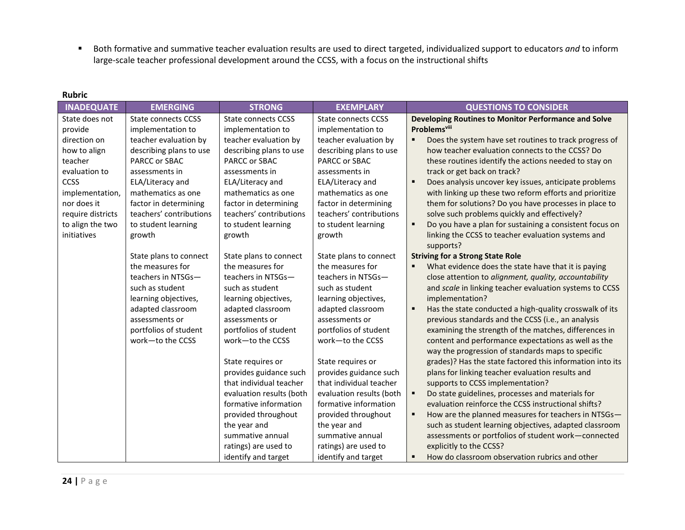Both formative and summative teacher evaluation results are used to direct targeted, individualized support to educators *and* to inform large-scale teacher professional development around the CCSS, with a focus on the instructional shifts

| <b>INADEQUATE</b> | <b>EMERGING</b>            | <b>STRONG</b>              | <b>EXEMPLARY</b>           | <b>QUESTIONS TO CONSIDER</b>                                              |
|-------------------|----------------------------|----------------------------|----------------------------|---------------------------------------------------------------------------|
| State does not    | <b>State connects CCSS</b> | <b>State connects CCSS</b> | <b>State connects CCSS</b> | Developing Routines to Monitor Performance and Solve                      |
| provide           | implementation to          | implementation to          | implementation to          | <b>Problems</b> viii                                                      |
| direction on      | teacher evaluation by      | teacher evaluation by      | teacher evaluation by      | ٠<br>Does the system have set routines to track progress of               |
| how to align      | describing plans to use    | describing plans to use    | describing plans to use    | how teacher evaluation connects to the CCSS? Do                           |
| teacher           | PARCC or SBAC              | PARCC or SBAC              | PARCC or SBAC              | these routines identify the actions needed to stay on                     |
| evaluation to     | assessments in             | assessments in             | assessments in             | track or get back on track?                                               |
| <b>CCSS</b>       | ELA/Literacy and           | ELA/Literacy and           | ELA/Literacy and           | Does analysis uncover key issues, anticipate problems<br>$\blacksquare$   |
| implementation,   | mathematics as one         | mathematics as one         | mathematics as one         | with linking up these two reform efforts and prioritize                   |
| nor does it       | factor in determining      | factor in determining      | factor in determining      | them for solutions? Do you have processes in place to                     |
| require districts | teachers' contributions    | teachers' contributions    | teachers' contributions    | solve such problems quickly and effectively?                              |
| to align the two  | to student learning        | to student learning        | to student learning        | Do you have a plan for sustaining a consistent focus on<br>$\blacksquare$ |
| initiatives       | growth                     | growth                     | growth                     | linking the CCSS to teacher evaluation systems and                        |
|                   |                            |                            |                            | supports?                                                                 |
|                   | State plans to connect     | State plans to connect     | State plans to connect     | <b>Striving for a Strong State Role</b>                                   |
|                   | the measures for           | the measures for           | the measures for           | What evidence does the state have that it is paying                       |
|                   | teachers in NTSGs-         | teachers in NTSGs-         | teachers in NTSGs-         | close attention to alignment, quality, accountability                     |
|                   | such as student            | such as student            | such as student            | and scale in linking teacher evaluation systems to CCSS                   |
|                   | learning objectives,       | learning objectives,       | learning objectives,       | implementation?                                                           |
|                   | adapted classroom          | adapted classroom          | adapted classroom          | Has the state conducted a high-quality crosswalk of its<br>$\blacksquare$ |
|                   | assessments or             | assessments or             | assessments or             | previous standards and the CCSS (i.e., an analysis                        |
|                   | portfolios of student      | portfolios of student      | portfolios of student      | examining the strength of the matches, differences in                     |
|                   | work-to the CCSS           | work-to the CCSS           | work-to the CCSS           | content and performance expectations as well as the                       |
|                   |                            |                            |                            | way the progression of standards maps to specific                         |
|                   |                            | State requires or          | State requires or          | grades)? Has the state factored this information into its                 |
|                   |                            | provides guidance such     | provides guidance such     | plans for linking teacher evaluation results and                          |
|                   |                            | that individual teacher    | that individual teacher    | supports to CCSS implementation?                                          |
|                   |                            | evaluation results (both   | evaluation results (both   | Do state guidelines, processes and materials for<br>٠                     |
|                   |                            | formative information      | formative information      | evaluation reinforce the CCSS instructional shifts?                       |
|                   |                            | provided throughout        | provided throughout        | How are the planned measures for teachers in NTSGs-<br>٠                  |
|                   |                            | the year and               | the year and               | such as student learning objectives, adapted classroom                    |
|                   |                            | summative annual           | summative annual           | assessments or portfolios of student work-connected                       |
|                   |                            | ratings) are used to       | ratings) are used to       | explicitly to the CCSS?                                                   |
|                   |                            | identify and target        | identify and target        | How do classroom observation rubrics and other                            |

#### **Rubric**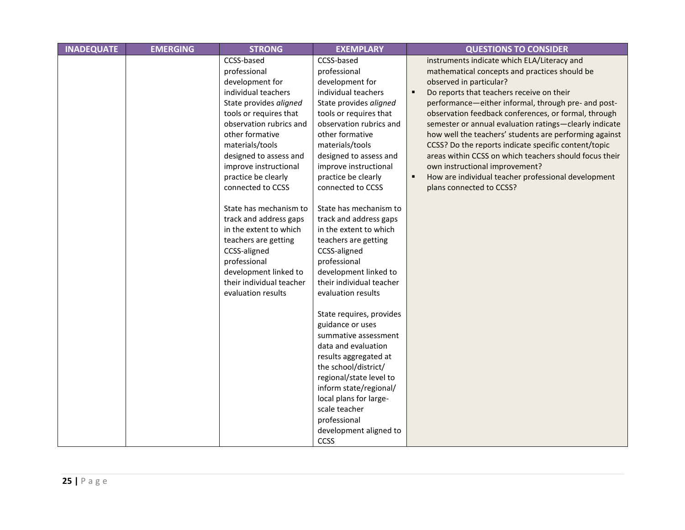| <b>INADEQUATE</b> | <b>EMERGING</b> | <b>STRONG</b>                                                                                                                                                                                                                                                                            | <b>EXEMPLARY</b>                                                                                                                                                                                                                                                                                      | <b>QUESTIONS TO CONSIDER</b>                                                                                                                                                                                                                                                                                                                                                                                                                                                                                                                                                                                                                             |
|-------------------|-----------------|------------------------------------------------------------------------------------------------------------------------------------------------------------------------------------------------------------------------------------------------------------------------------------------|-------------------------------------------------------------------------------------------------------------------------------------------------------------------------------------------------------------------------------------------------------------------------------------------------------|----------------------------------------------------------------------------------------------------------------------------------------------------------------------------------------------------------------------------------------------------------------------------------------------------------------------------------------------------------------------------------------------------------------------------------------------------------------------------------------------------------------------------------------------------------------------------------------------------------------------------------------------------------|
|                   |                 | CCSS-based<br>professional<br>development for<br>individual teachers<br>State provides aligned<br>tools or requires that<br>observation rubrics and<br>other formative<br>materials/tools<br>designed to assess and<br>improve instructional<br>practice be clearly<br>connected to CCSS | CCSS-based<br>professional<br>development for<br>individual teachers<br>State provides aligned<br>tools or requires that<br>observation rubrics and<br>other formative<br>materials/tools<br>designed to assess and<br>improve instructional<br>practice be clearly<br>connected to CCSS              | instruments indicate which ELA/Literacy and<br>mathematical concepts and practices should be<br>observed in particular?<br>Do reports that teachers receive on their<br>п<br>performance-either informal, through pre- and post-<br>observation feedback conferences, or formal, through<br>semester or annual evaluation ratings-clearly indicate<br>how well the teachers' students are performing against<br>CCSS? Do the reports indicate specific content/topic<br>areas within CCSS on which teachers should focus their<br>own instructional improvement?<br>How are individual teacher professional development<br>٠<br>plans connected to CCSS? |
|                   |                 | State has mechanism to<br>track and address gaps<br>in the extent to which<br>teachers are getting<br>CCSS-aligned<br>professional<br>development linked to<br>their individual teacher<br>evaluation results                                                                            | State has mechanism to<br>track and address gaps<br>in the extent to which<br>teachers are getting<br>CCSS-aligned<br>professional<br>development linked to<br>their individual teacher<br>evaluation results                                                                                         |                                                                                                                                                                                                                                                                                                                                                                                                                                                                                                                                                                                                                                                          |
|                   |                 |                                                                                                                                                                                                                                                                                          | State requires, provides<br>guidance or uses<br>summative assessment<br>data and evaluation<br>results aggregated at<br>the school/district/<br>regional/state level to<br>inform state/regional/<br>local plans for large-<br>scale teacher<br>professional<br>development aligned to<br><b>CCSS</b> |                                                                                                                                                                                                                                                                                                                                                                                                                                                                                                                                                                                                                                                          |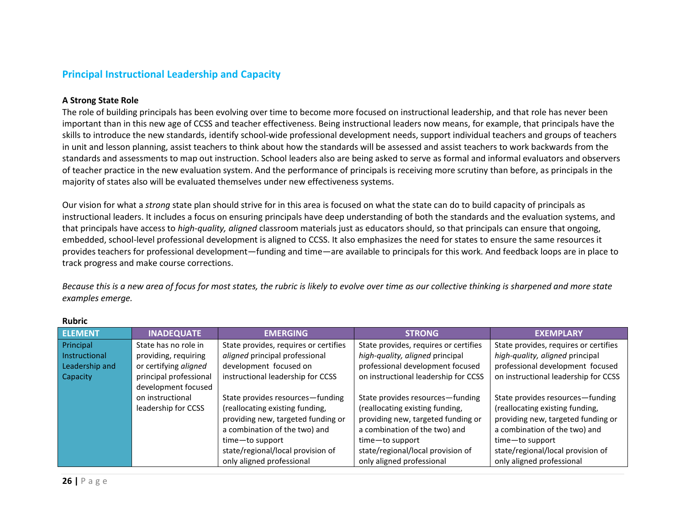#### <span id="page-26-0"></span>**Principal Instructional Leadership and Capacity**

#### **A Strong State Role**

The role of building principals has been evolving over time to become more focused on instructional leadership, and that role has never been important than in this new age of CCSS and teacher effectiveness. Being instructional leaders now means, for example, that principals have the skills to introduce the new standards, identify school-wide professional development needs, support individual teachers and groups of teachers in unit and lesson planning, assist teachers to think about how the standards will be assessed and assist teachers to work backwards from the standards and assessments to map out instruction. School leaders also are being asked to serve as formal and informal evaluators and observers of teacher practice in the new evaluation system. And the performance of principals is receiving more scrutiny than before, as principals in the majority of states also will be evaluated themselves under new effectiveness systems.

Our vision for what a *strong* state plan should strive for in this area is focused on what the state can do to build capacity of principals as instructional leaders. It includes a focus on ensuring principals have deep understanding of both the standards and the evaluation systems, and that principals have access to *high-quality, aligned* classroom materials just as educators should, so that principals can ensure that ongoing, embedded, school-level professional development is aligned to CCSS. It also emphasizes the need for states to ensure the same resources it provides teachers for professional development—funding and time—are available to principals for this work. And feedback loops are in place to track progress and make course corrections.

*Because this is a new area of focus for most states, the rubric is likely to evolve over time as our collective thinking is sharpened and more state examples emerge.* 

| <b>ELEMENT</b> | <b>INADEQUATE</b>      | <b>EMERGING</b>                       | <b>STRONG</b>                         | <b>EXEMPLARY</b>                      |
|----------------|------------------------|---------------------------------------|---------------------------------------|---------------------------------------|
| Principal      | State has no role in   | State provides, requires or certifies | State provides, requires or certifies | State provides, requires or certifies |
| Instructional  | providing, requiring   | aligned principal professional        | high-quality, aligned principal       | high-quality, aligned principal       |
| Leadership and | or certifying aligned  | development focused on                | professional development focused      | professional development focused      |
| Capacity       | principal professional | instructional leadership for CCSS     | on instructional leadership for CCSS  | on instructional leadership for CCSS  |
|                | development focused    |                                       |                                       |                                       |
|                | on instructional       | State provides resources-funding      | State provides resources-funding      | State provides resources-funding      |
|                | leadership for CCSS    | (reallocating existing funding,       | (reallocating existing funding,       | (reallocating existing funding,       |
|                |                        | providing new, targeted funding or    | providing new, targeted funding or    | providing new, targeted funding or    |
|                |                        | a combination of the two) and         | a combination of the two) and         | a combination of the two) and         |
|                |                        | time-to support                       | time-to support                       | time-to support                       |
|                |                        | state/regional/local provision of     | state/regional/local provision of     | state/regional/local provision of     |
|                |                        | only aligned professional             | only aligned professional             | only aligned professional             |

#### **Rubric**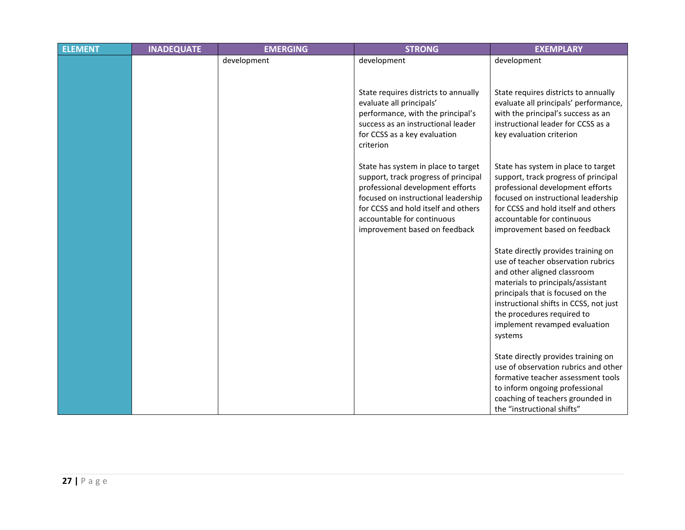| <b>ELEMENT</b> | <b>INADEQUATE</b> | <b>EMERGING</b> | <b>STRONG</b>                                                                                                                                                                                                                                                | <b>EXEMPLARY</b>                                                                                                                                                                                                                                                                                       |
|----------------|-------------------|-----------------|--------------------------------------------------------------------------------------------------------------------------------------------------------------------------------------------------------------------------------------------------------------|--------------------------------------------------------------------------------------------------------------------------------------------------------------------------------------------------------------------------------------------------------------------------------------------------------|
|                |                   | development     | development                                                                                                                                                                                                                                                  | development                                                                                                                                                                                                                                                                                            |
|                |                   |                 | State requires districts to annually<br>evaluate all principals'<br>performance, with the principal's<br>success as an instructional leader<br>for CCSS as a key evaluation<br>criterion                                                                     | State requires districts to annually<br>evaluate all principals' performance,<br>with the principal's success as an<br>instructional leader for CCSS as a<br>key evaluation criterion                                                                                                                  |
|                |                   |                 | State has system in place to target<br>support, track progress of principal<br>professional development efforts<br>focused on instructional leadership<br>for CCSS and hold itself and others<br>accountable for continuous<br>improvement based on feedback | State has system in place to target<br>support, track progress of principal<br>professional development efforts<br>focused on instructional leadership<br>for CCSS and hold itself and others<br>accountable for continuous<br>improvement based on feedback                                           |
|                |                   |                 |                                                                                                                                                                                                                                                              | State directly provides training on<br>use of teacher observation rubrics<br>and other aligned classroom<br>materials to principals/assistant<br>principals that is focused on the<br>instructional shifts in CCSS, not just<br>the procedures required to<br>implement revamped evaluation<br>systems |
|                |                   |                 |                                                                                                                                                                                                                                                              | State directly provides training on<br>use of observation rubrics and other<br>formative teacher assessment tools<br>to inform ongoing professional<br>coaching of teachers grounded in<br>the "instructional shifts"                                                                                  |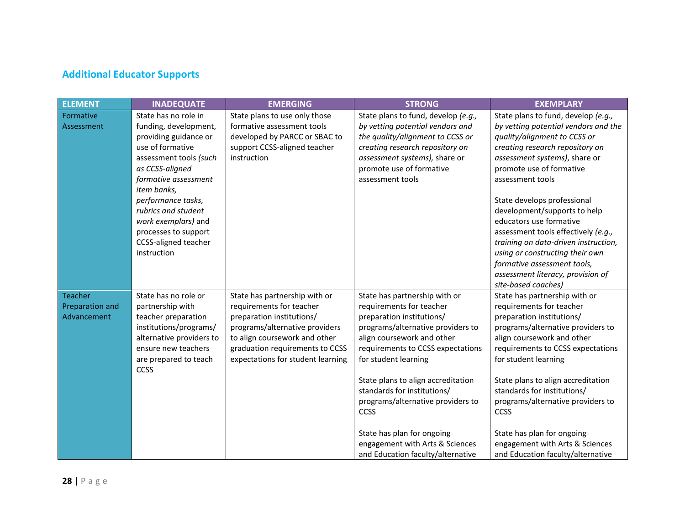# <span id="page-28-0"></span>**Additional Educator Supports**

| <b>ELEMENT</b>                            | <b>INADEQUATE</b>                                                                                                                                                                                                                                                                                                        | <b>EMERGING</b>                                                                                                                                                                                                                   | <b>STRONG</b>                                                                                                                                                                                                                                                                                                                                                                                                                                  | <b>EXEMPLARY</b>                                                                                                                                                                                                                                                                                                                                                                                                                                                                                                                       |
|-------------------------------------------|--------------------------------------------------------------------------------------------------------------------------------------------------------------------------------------------------------------------------------------------------------------------------------------------------------------------------|-----------------------------------------------------------------------------------------------------------------------------------------------------------------------------------------------------------------------------------|------------------------------------------------------------------------------------------------------------------------------------------------------------------------------------------------------------------------------------------------------------------------------------------------------------------------------------------------------------------------------------------------------------------------------------------------|----------------------------------------------------------------------------------------------------------------------------------------------------------------------------------------------------------------------------------------------------------------------------------------------------------------------------------------------------------------------------------------------------------------------------------------------------------------------------------------------------------------------------------------|
| Formative<br>Assessment                   | State has no role in<br>funding, development,<br>providing guidance or<br>use of formative<br>assessment tools (such<br>as CCSS-aligned<br>formative assessment<br>item banks,<br>performance tasks,<br>rubrics and student<br>work exemplars) and<br>processes to support<br><b>CCSS-aligned teacher</b><br>instruction | State plans to use only those<br>formative assessment tools<br>developed by PARCC or SBAC to<br>support CCSS-aligned teacher<br>instruction                                                                                       | State plans to fund, develop (e.g.,<br>by vetting potential vendors and<br>the quality/alignment to CCSS or<br>creating research repository on<br>assessment systems), share or<br>promote use of formative<br>assessment tools                                                                                                                                                                                                                | State plans to fund, develop (e.g.,<br>by vetting potential vendors and the<br>quality/alignment to CCSS or<br>creating research repository on<br>assessment systems), share or<br>promote use of formative<br>assessment tools<br>State develops professional<br>development/supports to help<br>educators use formative<br>assessment tools effectively (e.g.,<br>training on data-driven instruction,<br>using or constructing their own<br>formative assessment tools,<br>assessment literacy, provision of<br>site-based coaches) |
| Teacher<br>Preparation and<br>Advancement | State has no role or<br>partnership with<br>teacher preparation<br>institutions/programs/<br>alternative providers to<br>ensure new teachers<br>are prepared to teach<br><b>CCSS</b>                                                                                                                                     | State has partnership with or<br>requirements for teacher<br>preparation institutions/<br>programs/alternative providers<br>to align coursework and other<br>graduation requirements to CCSS<br>expectations for student learning | State has partnership with or<br>requirements for teacher<br>preparation institutions/<br>programs/alternative providers to<br>align coursework and other<br>requirements to CCSS expectations<br>for student learning<br>State plans to align accreditation<br>standards for institutions/<br>programs/alternative providers to<br>CCSS<br>State has plan for ongoing<br>engagement with Arts & Sciences<br>and Education faculty/alternative | State has partnership with or<br>requirements for teacher<br>preparation institutions/<br>programs/alternative providers to<br>align coursework and other<br>requirements to CCSS expectations<br>for student learning<br>State plans to align accreditation<br>standards for institutions/<br>programs/alternative providers to<br>CCSS<br>State has plan for ongoing<br>engagement with Arts & Sciences<br>and Education faculty/alternative                                                                                         |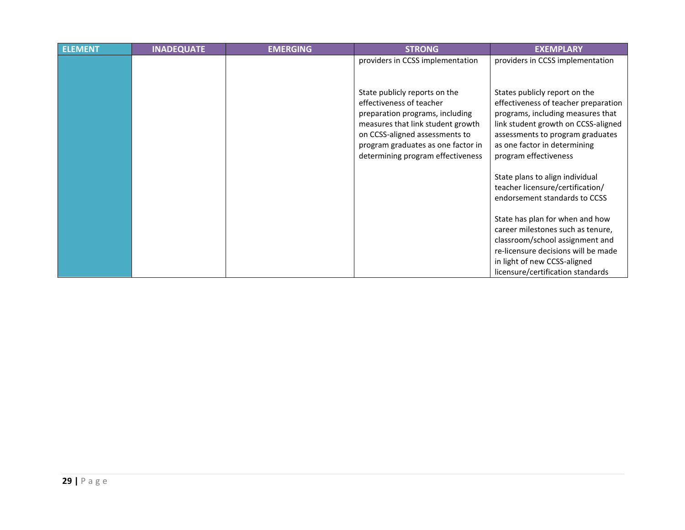| <b>ELEMENT</b> | <b>INADEQUATE</b> | <b>EMERGING</b> | <b>STRONG</b>                                                                                                                                                                                                 | <b>EXEMPLARY</b>                                                                                                                                                                                                    |
|----------------|-------------------|-----------------|---------------------------------------------------------------------------------------------------------------------------------------------------------------------------------------------------------------|---------------------------------------------------------------------------------------------------------------------------------------------------------------------------------------------------------------------|
|                |                   |                 | providers in CCSS implementation<br>State publicly reports on the                                                                                                                                             | providers in CCSS implementation<br>States publicly report on the                                                                                                                                                   |
|                |                   |                 | effectiveness of teacher<br>preparation programs, including<br>measures that link student growth<br>on CCSS-aligned assessments to<br>program graduates as one factor in<br>determining program effectiveness | effectiveness of teacher preparation<br>programs, including measures that<br>link student growth on CCSS-aligned<br>assessments to program graduates<br>as one factor in determining<br>program effectiveness       |
|                |                   |                 |                                                                                                                                                                                                               | State plans to align individual<br>teacher licensure/certification/<br>endorsement standards to CCSS                                                                                                                |
|                |                   |                 |                                                                                                                                                                                                               | State has plan for when and how<br>career milestones such as tenure,<br>classroom/school assignment and<br>re-licensure decisions will be made<br>in light of new CCSS-aligned<br>licensure/certification standards |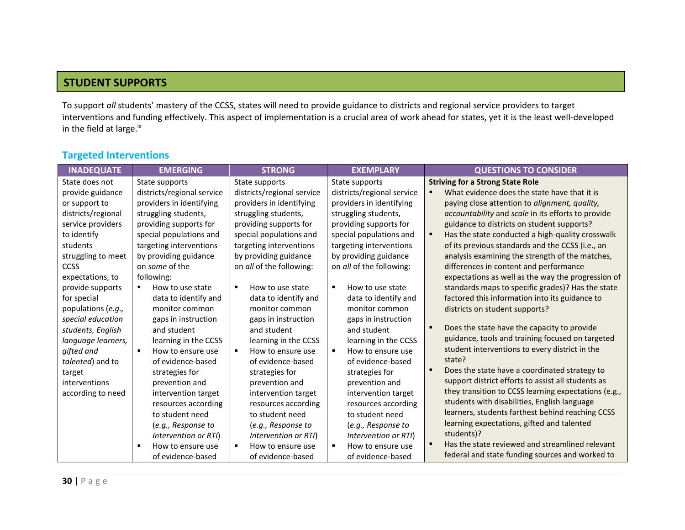### **STUDENT SUPPORTS**

To support *all* students' mastery of the CCSS, states will need to provide guidance to districts and regional service providers to target interventions and funding effectively. This aspect of implementation is a crucial area of work ahead for states, yet it is the least well-developed in the field at large.<sup>ix</sup>

### <span id="page-30-0"></span>**Targeted Interventions**

| <b>INADEQUATE</b>  | <b>EMERGING</b>                     | <b>STRONG</b>                       | <b>EXEMPLARY</b>           | <b>QUESTIONS TO CONSIDER</b>                         |
|--------------------|-------------------------------------|-------------------------------------|----------------------------|------------------------------------------------------|
| State does not     | State supports                      | State supports                      | State supports             | <b>Striving for a Strong State Role</b>              |
| provide guidance   | districts/regional service          | districts/regional service          | districts/regional service | What evidence does the state have that it is         |
| or support to      | providers in identifying            | providers in identifying            | providers in identifying   | paying close attention to alignment, quality,        |
| districts/regional | struggling students,                | struggling students,                | struggling students,       | accountability and scale in its efforts to provide   |
| service providers  | providing supports for              | providing supports for              | providing supports for     | guidance to districts on student supports?           |
| to identify        | special populations and             | special populations and             | special populations and    | Has the state conducted a high-quality crosswalk     |
| students           | targeting interventions             | targeting interventions             | targeting interventions    | of its previous standards and the CCSS (i.e., an     |
| struggling to meet | by providing guidance               | by providing guidance               | by providing guidance      | analysis examining the strength of the matches,      |
| CCSS               | on some of the                      | on all of the following:            | on all of the following:   | differences in content and performance               |
| expectations, to   | following:                          |                                     |                            | expectations as well as the way the progression of   |
| provide supports   | How to use state<br>٠               | $\blacksquare$<br>How to use state  | ٠<br>How to use state      | standards maps to specific grades)? Has the state    |
| for special        | data to identify and                | data to identify and                | data to identify and       | factored this information into its guidance to       |
| populations (e.g., | monitor common                      | monitor common                      | monitor common             | districts on student supports?                       |
| special education  | gaps in instruction                 | gaps in instruction                 | gaps in instruction        |                                                      |
| students, English  | and student                         | and student                         | and student                | Does the state have the capacity to provide          |
| language learners, | learning in the CCSS                | learning in the CCSS                | learning in the CCSS       | guidance, tools and training focused on targeted     |
| gifted and         | $\blacksquare$<br>How to ensure use | How to ensure use<br>$\blacksquare$ | How to ensure use<br>٠     | student interventions to every district in the       |
| talented) and to   | of evidence-based                   | of evidence-based                   | of evidence-based          | state?                                               |
| target             | strategies for                      | strategies for                      | strategies for             | Does the state have a coordinated strategy to        |
| interventions      | prevention and                      | prevention and                      | prevention and             | support district efforts to assist all students as   |
| according to need  | intervention target                 | intervention target                 | intervention target        | they transition to CCSS learning expectations (e.g., |
|                    | resources according                 | resources according                 | resources according        | students with disabilities, English language         |
|                    | to student need                     | to student need                     | to student need            | learners, students farthest behind reaching CCSS     |
|                    | (e.g., Response to                  | (e.g., Response to                  | (e.g., Response to         | learning expectations, gifted and talented           |
|                    | Intervention or RTI)                | Intervention or RTI)                | Intervention or RTI)       | students)?                                           |
|                    | How to ensure use<br>п              | How to ensure use<br>٠              | ٠<br>How to ensure use     | Has the state reviewed and streamlined relevant      |
|                    | of evidence-based                   | of evidence-based                   | of evidence-based          | federal and state funding sources and worked to      |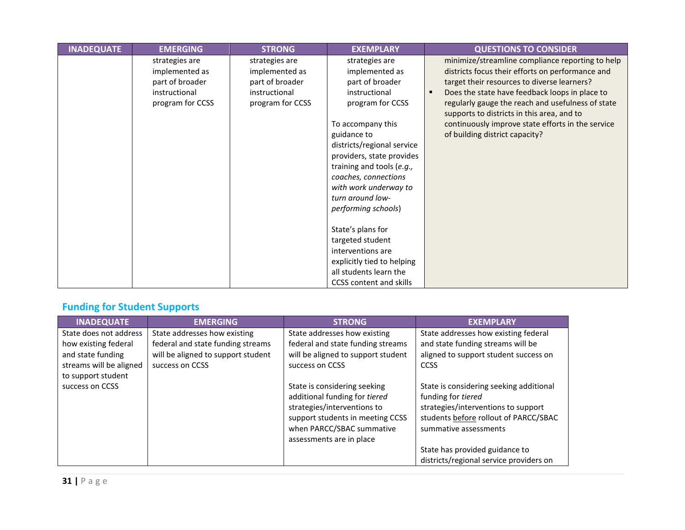| <b>INADEQUATE</b> | <b>EMERGING</b>                                                                          | <b>STRONG</b>                                                                            | <b>EXEMPLARY</b>                                                                                                                                                                                                                                                                                                                                                                                                                                                  | <b>QUESTIONS TO CONSIDER</b>                                                                                                                                                                                                                                                                                                                                                                    |
|-------------------|------------------------------------------------------------------------------------------|------------------------------------------------------------------------------------------|-------------------------------------------------------------------------------------------------------------------------------------------------------------------------------------------------------------------------------------------------------------------------------------------------------------------------------------------------------------------------------------------------------------------------------------------------------------------|-------------------------------------------------------------------------------------------------------------------------------------------------------------------------------------------------------------------------------------------------------------------------------------------------------------------------------------------------------------------------------------------------|
|                   | strategies are<br>implemented as<br>part of broader<br>instructional<br>program for CCSS | strategies are<br>implemented as<br>part of broader<br>instructional<br>program for CCSS | strategies are<br>implemented as<br>part of broader<br>instructional<br>program for CCSS<br>To accompany this<br>guidance to<br>districts/regional service<br>providers, state provides<br>training and tools (e.g.,<br>coaches, connections<br>with work underway to<br>turn around low-<br>performing schools)<br>State's plans for<br>targeted student<br>interventions are<br>explicitly tied to helping<br>all students learn the<br>CCSS content and skills | minimize/streamline compliance reporting to help<br>districts focus their efforts on performance and<br>target their resources to diverse learners?<br>Does the state have feedback loops in place to<br>regularly gauge the reach and usefulness of state<br>supports to districts in this area, and to<br>continuously improve state efforts in the service<br>of building district capacity? |

# <span id="page-31-0"></span>**Funding for Student Supports**

| <b>INADEQUATE</b>       | <b>EMERGING</b>                    | <b>STRONG</b>                      | <b>EXEMPLARY</b>                        |
|-------------------------|------------------------------------|------------------------------------|-----------------------------------------|
| State does not address  | State addresses how existing       | State addresses how existing       | State addresses how existing federal    |
| how existing federal    | federal and state funding streams  | federal and state funding streams  | and state funding streams will be       |
| and state funding       | will be aligned to support student | will be aligned to support student | aligned to support student success on   |
| streams will be aligned | success on CCSS                    | success on CCSS                    | <b>CCSS</b>                             |
| to support student      |                                    |                                    |                                         |
| success on CCSS         |                                    | State is considering seeking       | State is considering seeking additional |
|                         |                                    | additional funding for tiered      | funding for tiered                      |
|                         |                                    | strategies/interventions to        | strategies/interventions to support     |
|                         |                                    | support students in meeting CCSS   | students before rollout of PARCC/SBAC   |
|                         |                                    | when PARCC/SBAC summative          | summative assessments                   |
|                         |                                    | assessments are in place           |                                         |
|                         |                                    |                                    | State has provided guidance to          |
|                         |                                    |                                    | districts/regional service providers on |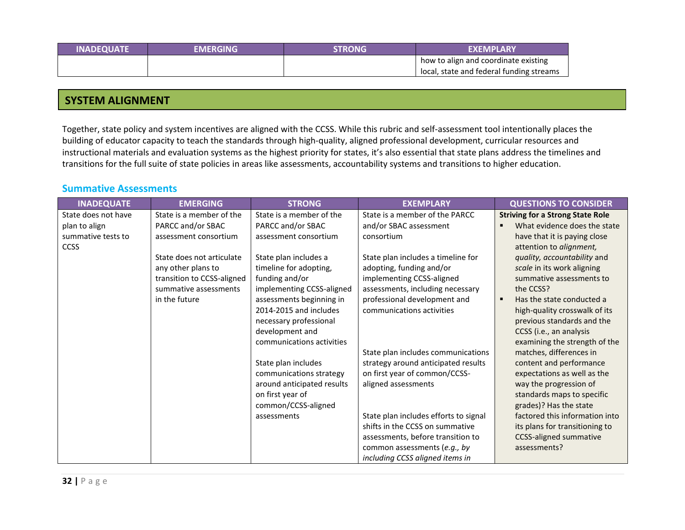| <b>INADEQUATE</b> | EMERGING' | <b>STRONG</b> | <b>EXEMPLARY</b>                         |
|-------------------|-----------|---------------|------------------------------------------|
|                   |           |               | how to align and coordinate existing     |
|                   |           |               | local, state and federal funding streams |

### **SYSTEM ALIGNMENT**

Together, state policy and system incentives are aligned with the CCSS. While this rubric and self-assessment tool intentionally places the building of educator capacity to teach the standards through high-quality, aligned professional development, curricular resources and instructional materials and evaluation systems as the highest priority for states, it's also essential that state plans address the timelines and transitions for the full suite of state policies in areas like assessments, accountability systems and transitions to higher education.

#### <span id="page-32-0"></span>**Summative Assessments**

| <b>INADEQUATE</b>   | <b>EMERGING</b>            | <b>STRONG</b>              | <b>EXEMPLARY</b>                      | <b>QUESTIONS TO CONSIDER</b>            |
|---------------------|----------------------------|----------------------------|---------------------------------------|-----------------------------------------|
| State does not have | State is a member of the   | State is a member of the   | State is a member of the PARCC        | <b>Striving for a Strong State Role</b> |
| plan to align       | PARCC and/or SBAC          | PARCC and/or SBAC          | and/or SBAC assessment                | What evidence does the state            |
| summative tests to  | assessment consortium      | assessment consortium      | consortium                            | have that it is paying close            |
| <b>CCSS</b>         |                            |                            |                                       | attention to alignment,                 |
|                     | State does not articulate  | State plan includes a      | State plan includes a timeline for    | quality, accountability and             |
|                     | any other plans to         | timeline for adopting,     | adopting, funding and/or              | scale in its work aligning              |
|                     | transition to CCSS-aligned | funding and/or             | implementing CCSS-aligned             | summative assessments to                |
|                     | summative assessments      | implementing CCSS-aligned  | assessments, including necessary      | the CCSS?                               |
|                     | in the future              | assessments beginning in   | professional development and          | Has the state conducted a<br>п          |
|                     |                            | 2014-2015 and includes     | communications activities             | high-quality crosswalk of its           |
|                     |                            | necessary professional     |                                       | previous standards and the              |
|                     |                            | development and            |                                       | CCSS (i.e., an analysis                 |
|                     |                            | communications activities  |                                       | examining the strength of the           |
|                     |                            |                            | State plan includes communications    | matches, differences in                 |
|                     |                            | State plan includes        | strategy around anticipated results   | content and performance                 |
|                     |                            | communications strategy    | on first year of common/CCSS-         | expectations as well as the             |
|                     |                            | around anticipated results | aligned assessments                   | way the progression of                  |
|                     |                            | on first year of           |                                       | standards maps to specific              |
|                     |                            | common/CCSS-aligned        |                                       | grades)? Has the state                  |
|                     |                            | assessments                | State plan includes efforts to signal | factored this information into          |
|                     |                            |                            | shifts in the CCSS on summative       | its plans for transitioning to          |
|                     |                            |                            | assessments, before transition to     | <b>CCSS-aligned summative</b>           |
|                     |                            |                            | common assessments (e.g., by          | assessments?                            |
|                     |                            |                            | including CCSS aligned items in       |                                         |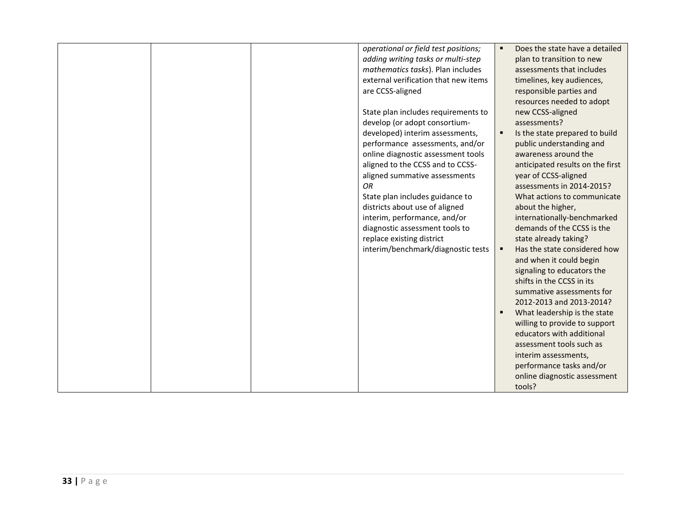|  | operational or field test positions; | Does the state have a detailed                   |
|--|--------------------------------------|--------------------------------------------------|
|  | adding writing tasks or multi-step   | plan to transition to new                        |
|  | mathematics tasks). Plan includes    | assessments that includes                        |
|  | external verification that new items | timelines, key audiences,                        |
|  | are CCSS-aligned                     | responsible parties and                          |
|  |                                      | resources needed to adopt                        |
|  | State plan includes requirements to  | new CCSS-aligned                                 |
|  | develop (or adopt consortium-        | assessments?                                     |
|  | developed) interim assessments,      | Is the state prepared to build<br>$\blacksquare$ |
|  | performance assessments, and/or      | public understanding and                         |
|  | online diagnostic assessment tools   | awareness around the                             |
|  | aligned to the CCSS and to CCSS-     | anticipated results on the first                 |
|  | aligned summative assessments        | year of CCSS-aligned                             |
|  | OR                                   | assessments in 2014-2015?                        |
|  | State plan includes guidance to      | What actions to communicate                      |
|  | districts about use of aligned       | about the higher,                                |
|  | interim, performance, and/or         | internationally-benchmarked                      |
|  | diagnostic assessment tools to       | demands of the CCSS is the                       |
|  | replace existing district            | state already taking?                            |
|  | interim/benchmark/diagnostic tests   | Has the state considered how<br>٠                |
|  |                                      | and when it could begin                          |
|  |                                      | signaling to educators the                       |
|  |                                      | shifts in the CCSS in its                        |
|  |                                      | summative assessments for                        |
|  |                                      | 2012-2013 and 2013-2014?                         |
|  |                                      | What leadership is the state                     |
|  |                                      | willing to provide to support                    |
|  |                                      | educators with additional                        |
|  |                                      | assessment tools such as                         |
|  |                                      | interim assessments,                             |
|  |                                      | performance tasks and/or                         |
|  |                                      | online diagnostic assessment                     |
|  |                                      | tools?                                           |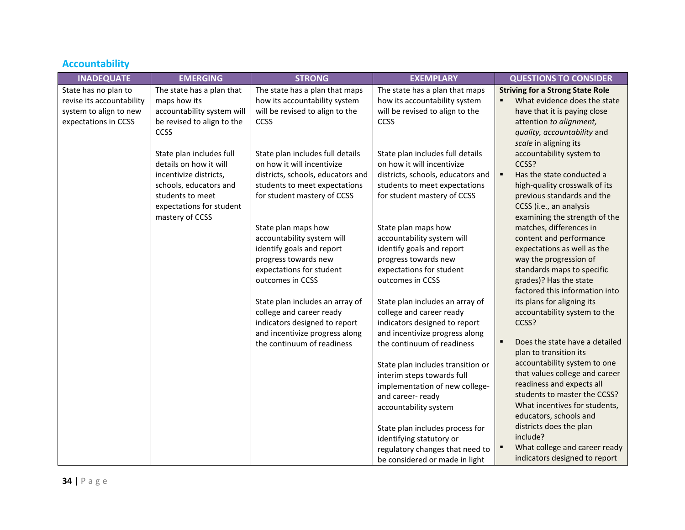# <span id="page-34-0"></span>**Accountability**

| <b>INADEQUATE</b>         | <b>EMERGING</b>            | <b>STRONG</b>                                                   | <b>EXEMPLARY</b>                                                | <b>QUESTIONS TO CONSIDER</b>                |
|---------------------------|----------------------------|-----------------------------------------------------------------|-----------------------------------------------------------------|---------------------------------------------|
| State has no plan to      | The state has a plan that  | The state has a plan that maps                                  | The state has a plan that maps                                  | <b>Striving for a Strong State Role</b>     |
| revise its accountability | maps how its               | how its accountability system                                   | how its accountability system                                   | What evidence does the state<br>٠           |
| system to align to new    | accountability system will | will be revised to align to the                                 | will be revised to align to the                                 | have that it is paying close                |
| expectations in CCSS      | be revised to align to the | CCSS                                                            | CCSS                                                            | attention to alignment,                     |
|                           | CCSS                       |                                                                 |                                                                 | quality, accountability and                 |
|                           |                            |                                                                 |                                                                 | scale in aligning its                       |
|                           | State plan includes full   | State plan includes full details                                | State plan includes full details                                | accountability system to                    |
|                           | details on how it will     | on how it will incentivize                                      | on how it will incentivize                                      | CCSS?                                       |
|                           | incentivize districts,     | districts, schools, educators and                               | districts, schools, educators and                               | $\blacksquare$<br>Has the state conducted a |
|                           | schools, educators and     | students to meet expectations                                   | students to meet expectations                                   | high-quality crosswalk of its               |
|                           | students to meet           | for student mastery of CCSS                                     | for student mastery of CCSS                                     | previous standards and the                  |
|                           | expectations for student   |                                                                 |                                                                 | CCSS (i.e., an analysis                     |
|                           | mastery of CCSS            |                                                                 |                                                                 | examining the strength of the               |
|                           |                            | State plan maps how                                             | State plan maps how                                             | matches, differences in                     |
|                           |                            | accountability system will                                      | accountability system will                                      | content and performance                     |
|                           |                            | identify goals and report                                       | identify goals and report                                       | expectations as well as the                 |
|                           |                            | progress towards new                                            | progress towards new                                            | way the progression of                      |
|                           |                            | expectations for student                                        | expectations for student                                        | standards maps to specific                  |
|                           |                            | outcomes in CCSS                                                | outcomes in CCSS                                                | grades)? Has the state                      |
|                           |                            |                                                                 |                                                                 | factored this information into              |
|                           |                            | State plan includes an array of                                 | State plan includes an array of                                 | its plans for aligning its                  |
|                           |                            | college and career ready                                        | college and career ready                                        | accountability system to the                |
|                           |                            | indicators designed to report<br>and incentivize progress along | indicators designed to report<br>and incentivize progress along | CCSS?                                       |
|                           |                            | the continuum of readiness                                      | the continuum of readiness                                      | Does the state have a detailed<br>٠         |
|                           |                            |                                                                 |                                                                 | plan to transition its                      |
|                           |                            |                                                                 | State plan includes transition or                               | accountability system to one                |
|                           |                            |                                                                 | interim steps towards full                                      | that values college and career              |
|                           |                            |                                                                 | implementation of new college-                                  | readiness and expects all                   |
|                           |                            |                                                                 | and career- ready                                               | students to master the CCSS?                |
|                           |                            |                                                                 | accountability system                                           | What incentives for students,               |
|                           |                            |                                                                 |                                                                 | educators, schools and                      |
|                           |                            |                                                                 | State plan includes process for                                 | districts does the plan                     |
|                           |                            |                                                                 | identifying statutory or                                        | include?                                    |
|                           |                            |                                                                 | regulatory changes that need to                                 | What college and career ready<br>٠          |
|                           |                            |                                                                 | be considered or made in light                                  | indicators designed to report               |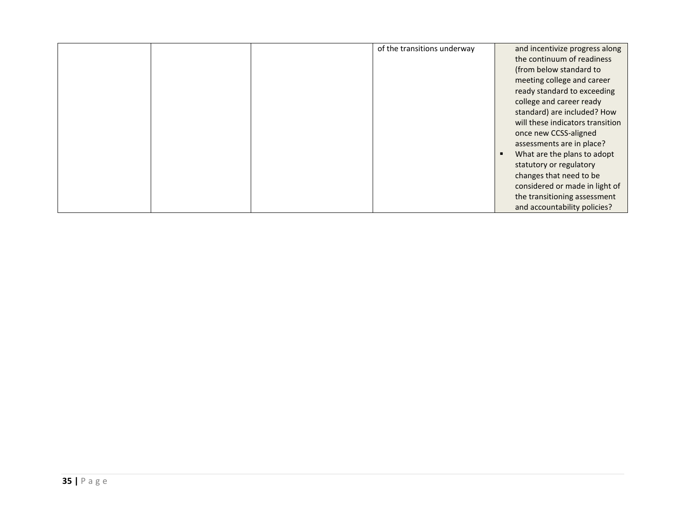|  | of the transitions underway | and incentivize progress along   |
|--|-----------------------------|----------------------------------|
|  |                             | the continuum of readiness       |
|  |                             | (from below standard to          |
|  |                             | meeting college and career       |
|  |                             | ready standard to exceeding      |
|  |                             | college and career ready         |
|  |                             | standard) are included? How      |
|  |                             | will these indicators transition |
|  |                             | once new CCSS-aligned            |
|  |                             | assessments are in place?        |
|  |                             | What are the plans to adopt<br>٠ |
|  |                             | statutory or regulatory          |
|  |                             | changes that need to be          |
|  |                             | considered or made in light of   |
|  |                             | the transitioning assessment     |
|  |                             | and accountability policies?     |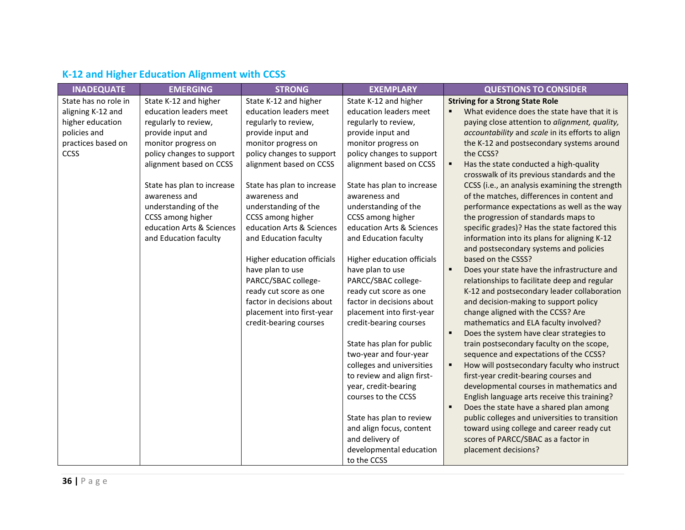| <b>INADEQUATE</b>    | <b>EMERGING</b>            | <b>STRONG</b>              | <b>EXEMPLARY</b>           | <b>QUESTIONS TO CONSIDER</b>                               |
|----------------------|----------------------------|----------------------------|----------------------------|------------------------------------------------------------|
| State has no role in | State K-12 and higher      | State K-12 and higher      | State K-12 and higher      | <b>Striving for a Strong State Role</b>                    |
| aligning K-12 and    | education leaders meet     | education leaders meet     | education leaders meet     | What evidence does the state have that it is               |
| higher education     | regularly to review,       | regularly to review,       | regularly to review,       | paying close attention to alignment, quality,              |
| policies and         | provide input and          | provide input and          | provide input and          | accountability and scale in its efforts to align           |
| practices based on   | monitor progress on        | monitor progress on        | monitor progress on        | the K-12 and postsecondary systems around                  |
| <b>CCSS</b>          | policy changes to support  | policy changes to support  | policy changes to support  | the CCSS?                                                  |
|                      | alignment based on CCSS    | alignment based on CCSS    | alignment based on CCSS    | Has the state conducted a high-quality<br>٠                |
|                      |                            |                            |                            | crosswalk of its previous standards and the                |
|                      | State has plan to increase | State has plan to increase | State has plan to increase | CCSS (i.e., an analysis examining the strength             |
|                      | awareness and              | awareness and              | awareness and              | of the matches, differences in content and                 |
|                      | understanding of the       | understanding of the       | understanding of the       | performance expectations as well as the way                |
|                      | CCSS among higher          | CCSS among higher          | CCSS among higher          | the progression of standards maps to                       |
|                      | education Arts & Sciences  | education Arts & Sciences  | education Arts & Sciences  | specific grades)? Has the state factored this              |
|                      | and Education faculty      | and Education faculty      | and Education faculty      | information into its plans for aligning K-12               |
|                      |                            |                            |                            | and postsecondary systems and policies                     |
|                      |                            | Higher education officials | Higher education officials | based on the CSSS?                                         |
|                      |                            | have plan to use           | have plan to use           | Does your state have the infrastructure and<br>٠           |
|                      |                            | PARCC/SBAC college-        | PARCC/SBAC college-        | relationships to facilitate deep and regular               |
|                      |                            | ready cut score as one     | ready cut score as one     | K-12 and postsecondary leader collaboration                |
|                      |                            | factor in decisions about  | factor in decisions about  | and decision-making to support policy                      |
|                      |                            | placement into first-year  | placement into first-year  | change aligned with the CCSS? Are                          |
|                      |                            | credit-bearing courses     | credit-bearing courses     | mathematics and ELA faculty involved?                      |
|                      |                            |                            |                            | Does the system have clear strategies to<br>$\blacksquare$ |
|                      |                            |                            | State has plan for public  | train postsecondary faculty on the scope,                  |
|                      |                            |                            | two-year and four-year     | sequence and expectations of the CCSS?                     |
|                      |                            |                            | colleges and universities  | How will postsecondary faculty who instruct                |
|                      |                            |                            | to review and align first- | first-year credit-bearing courses and                      |
|                      |                            |                            | year, credit-bearing       | developmental courses in mathematics and                   |
|                      |                            |                            | courses to the CCSS        | English language arts receive this training?               |
|                      |                            |                            |                            | Does the state have a shared plan among                    |
|                      |                            |                            | State has plan to review   | public colleges and universities to transition             |
|                      |                            |                            | and align focus, content   | toward using college and career ready cut                  |
|                      |                            |                            | and delivery of            | scores of PARCC/SBAC as a factor in                        |
|                      |                            |                            | developmental education    | placement decisions?                                       |
|                      |                            |                            | to the CCSS                |                                                            |

# <span id="page-36-0"></span>**K-12 and Higher Education Alignment with CCSS**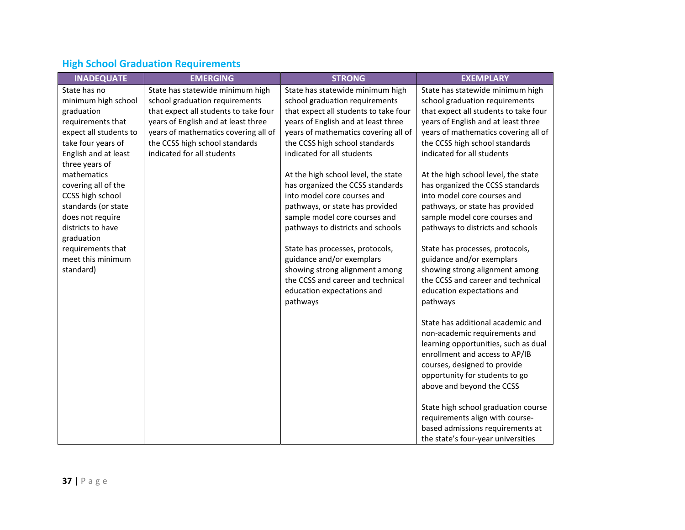# <span id="page-37-0"></span>**High School Graduation Requirements**

| <b>INADEQUATE</b>                       | <b>EMERGING</b>                       | <b>STRONG</b>                                                    | <b>EXEMPLARY</b>                                                 |
|-----------------------------------------|---------------------------------------|------------------------------------------------------------------|------------------------------------------------------------------|
| State has no                            | State has statewide minimum high      | State has statewide minimum high                                 | State has statewide minimum high                                 |
| minimum high school                     | school graduation requirements        | school graduation requirements                                   | school graduation requirements                                   |
| graduation                              | that expect all students to take four | that expect all students to take four                            | that expect all students to take four                            |
| requirements that                       | years of English and at least three   | years of English and at least three                              | years of English and at least three                              |
| expect all students to                  | years of mathematics covering all of  | years of mathematics covering all of                             | years of mathematics covering all of                             |
| take four years of                      | the CCSS high school standards        | the CCSS high school standards                                   | the CCSS high school standards                                   |
| English and at least                    | indicated for all students            | indicated for all students                                       | indicated for all students                                       |
| three years of                          |                                       |                                                                  |                                                                  |
| mathematics                             |                                       | At the high school level, the state                              | At the high school level, the state                              |
| covering all of the                     |                                       | has organized the CCSS standards                                 | has organized the CCSS standards                                 |
| CCSS high school                        |                                       | into model core courses and                                      | into model core courses and                                      |
| standards (or state<br>does not require |                                       | pathways, or state has provided<br>sample model core courses and | pathways, or state has provided<br>sample model core courses and |
| districts to have                       |                                       | pathways to districts and schools                                | pathways to districts and schools                                |
| graduation                              |                                       |                                                                  |                                                                  |
| requirements that                       |                                       | State has processes, protocols,                                  | State has processes, protocols,                                  |
| meet this minimum                       |                                       | guidance and/or exemplars                                        | guidance and/or exemplars                                        |
| standard)                               |                                       | showing strong alignment among                                   | showing strong alignment among                                   |
|                                         |                                       | the CCSS and career and technical                                | the CCSS and career and technical                                |
|                                         |                                       | education expectations and                                       | education expectations and                                       |
|                                         |                                       | pathways                                                         | pathways                                                         |
|                                         |                                       |                                                                  |                                                                  |
|                                         |                                       |                                                                  | State has additional academic and                                |
|                                         |                                       |                                                                  | non-academic requirements and                                    |
|                                         |                                       |                                                                  | learning opportunities, such as dual                             |
|                                         |                                       |                                                                  | enrollment and access to AP/IB                                   |
|                                         |                                       |                                                                  | courses, designed to provide                                     |
|                                         |                                       |                                                                  | opportunity for students to go                                   |
|                                         |                                       |                                                                  | above and beyond the CCSS                                        |
|                                         |                                       |                                                                  | State high school graduation course                              |
|                                         |                                       |                                                                  | requirements align with course-                                  |
|                                         |                                       |                                                                  | based admissions requirements at                                 |
|                                         |                                       |                                                                  | the state's four-year universities                               |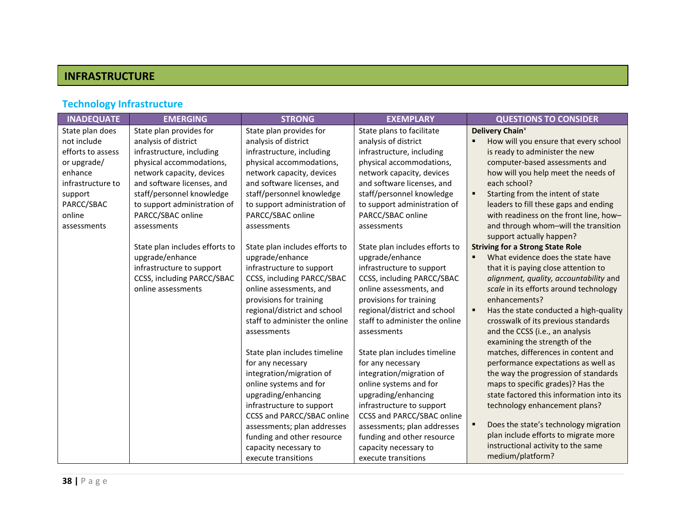# **INFRASTRUCTURE**

# <span id="page-38-0"></span>**Technology Infrastructure**

| <b>INADEQUATE</b> | <b>EMERGING</b>                | <b>STRONG</b><br><b>EXEMPLARY</b> |                                | <b>QUESTIONS TO CONSIDER</b>             |
|-------------------|--------------------------------|-----------------------------------|--------------------------------|------------------------------------------|
| State plan does   | State plan provides for        | State plan provides for           | State plans to facilitate      | Delivery Chain <sup>x</sup>              |
| not include       | analysis of district           | analysis of district              | analysis of district           | How will you ensure that every school    |
| efforts to assess | infrastructure, including      | infrastructure, including         | infrastructure, including      | is ready to administer the new           |
| or upgrade/       | physical accommodations,       | physical accommodations,          | physical accommodations,       | computer-based assessments and           |
| enhance           | network capacity, devices      | network capacity, devices         | network capacity, devices      | how will you help meet the needs of      |
| infrastructure to | and software licenses, and     | and software licenses, and        | and software licenses, and     | each school?                             |
| support           | staff/personnel knowledge      | staff/personnel knowledge         | staff/personnel knowledge      | Starting from the intent of state        |
| PARCC/SBAC        | to support administration of   | to support administration of      | to support administration of   | leaders to fill these gaps and ending    |
| online            | PARCC/SBAC online              | PARCC/SBAC online                 | PARCC/SBAC online              | with readiness on the front line, how-   |
| assessments       | assessments                    | assessments                       | assessments                    | and through whom-will the transition     |
|                   |                                |                                   |                                | support actually happen?                 |
|                   | State plan includes efforts to | State plan includes efforts to    | State plan includes efforts to | <b>Striving for a Strong State Role</b>  |
|                   | upgrade/enhance                | upgrade/enhance                   | upgrade/enhance                | What evidence does the state have        |
|                   | infrastructure to support      | infrastructure to support         | infrastructure to support      | that it is paying close attention to     |
|                   | CCSS, including PARCC/SBAC     | CCSS, including PARCC/SBAC        | CCSS, including PARCC/SBAC     | alignment, quality, accountability and   |
|                   | online assessments             | online assessments, and           | online assessments, and        | scale in its efforts around technology   |
|                   |                                | provisions for training           | provisions for training        | enhancements?                            |
|                   |                                | regional/district and school      | regional/district and school   | Has the state conducted a high-quality   |
|                   |                                | staff to administer the online    | staff to administer the online | crosswalk of its previous standards      |
|                   |                                | assessments                       | assessments                    | and the CCSS (i.e., an analysis          |
|                   |                                |                                   |                                | examining the strength of the            |
|                   |                                | State plan includes timeline      | State plan includes timeline   | matches, differences in content and      |
|                   |                                | for any necessary                 | for any necessary              | performance expectations as well as      |
|                   |                                | integration/migration of          | integration/migration of       | the way the progression of standards     |
|                   |                                | online systems and for            | online systems and for         | maps to specific grades)? Has the        |
|                   |                                | upgrading/enhancing               | upgrading/enhancing            | state factored this information into its |
|                   |                                | infrastructure to support         | infrastructure to support      | technology enhancement plans?            |
|                   |                                | <b>CCSS and PARCC/SBAC online</b> | CCSS and PARCC/SBAC online     |                                          |
|                   |                                | assessments; plan addresses       | assessments; plan addresses    | Does the state's technology migration    |
|                   |                                | funding and other resource        | funding and other resource     | plan include efforts to migrate more     |
|                   |                                | capacity necessary to             | capacity necessary to          | instructional activity to the same       |
|                   |                                | execute transitions               | execute transitions            | medium/platform?                         |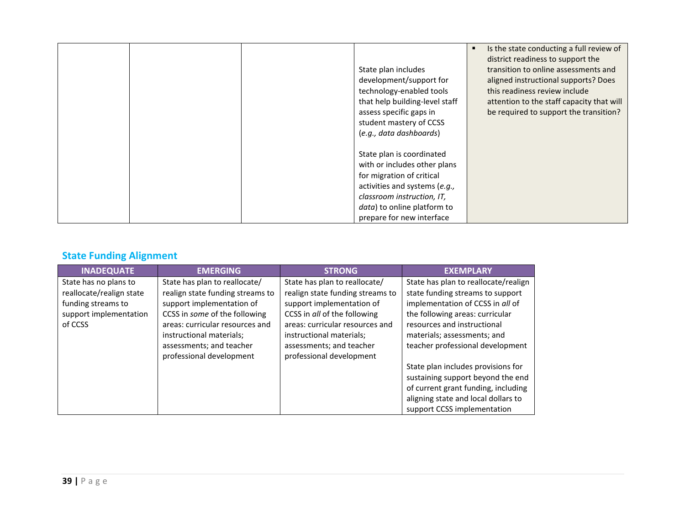|  |                                | Is the state conducting a full review of<br>٠ |
|--|--------------------------------|-----------------------------------------------|
|  |                                | district readiness to support the             |
|  | State plan includes            | transition to online assessments and          |
|  | development/support for        | aligned instructional supports? Does          |
|  | technology-enabled tools       | this readiness review include                 |
|  | that help building-level staff | attention to the staff capacity that will     |
|  | assess specific gaps in        | be required to support the transition?        |
|  | student mastery of CCSS        |                                               |
|  | (e.g., data dashboards)        |                                               |
|  |                                |                                               |
|  | State plan is coordinated      |                                               |
|  | with or includes other plans   |                                               |
|  | for migration of critical      |                                               |
|  | activities and systems (e.g.,  |                                               |
|  | classroom instruction, IT,     |                                               |
|  | data) to online platform to    |                                               |
|  | prepare for new interface      |                                               |

# <span id="page-39-0"></span>**State Funding Alignment**

| <b>INADEQUATE</b>        | <b>EMERGING</b>                  | <b>STRONG</b>                    | <b>EXEMPLARY</b>                     |
|--------------------------|----------------------------------|----------------------------------|--------------------------------------|
| State has no plans to    | State has plan to reallocate/    | State has plan to reallocate/    | State has plan to reallocate/realign |
| reallocate/realign state | realign state funding streams to | realign state funding streams to | state funding streams to support     |
| funding streams to       | support implementation of        | support implementation of        | implementation of CCSS in all of     |
| support implementation   | CCSS in some of the following    | CCSS in all of the following     | the following areas: curricular      |
| of CCSS                  | areas: curricular resources and  | areas: curricular resources and  | resources and instructional          |
|                          | instructional materials;         | instructional materials;         | materials; assessments; and          |
|                          | assessments; and teacher         | assessments; and teacher         | teacher professional development     |
|                          | professional development         | professional development         |                                      |
|                          |                                  |                                  | State plan includes provisions for   |
|                          |                                  |                                  | sustaining support beyond the end    |
|                          |                                  |                                  | of current grant funding, including  |
|                          |                                  |                                  | aligning state and local dollars to  |
|                          |                                  |                                  | support CCSS implementation          |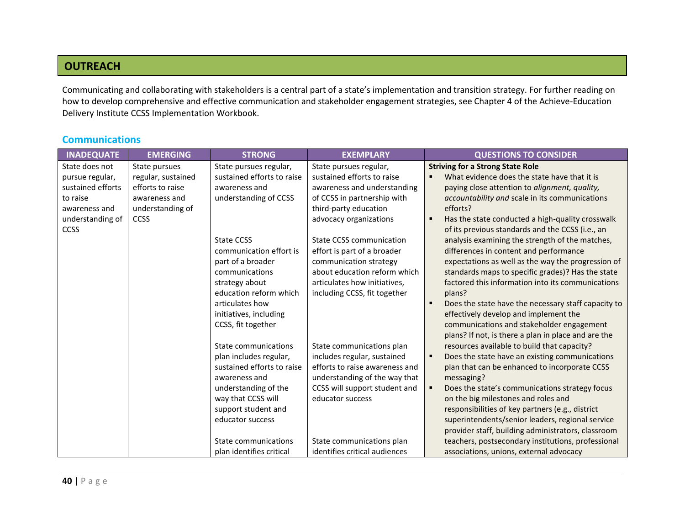### **OUTREACH**

Communicating and collaborating with stakeholders is a central part of a state's implementation and transition strategy. For further reading on how to develop comprehensive and effective communication and stakeholder engagement strategies, see Chapter 4 of the Achieve-Education Delivery Institute CCSS Implementation Workbook.

### <span id="page-40-0"></span>**Communications**

| <b>INADEQUATE</b> | <b>EMERGING</b>    | <b>STRONG</b>              | <b>EXEMPLARY</b>               | <b>QUESTIONS TO CONSIDER</b>                        |
|-------------------|--------------------|----------------------------|--------------------------------|-----------------------------------------------------|
| State does not    | State pursues      | State pursues regular,     | State pursues regular,         | <b>Striving for a Strong State Role</b>             |
| pursue regular,   | regular, sustained | sustained efforts to raise | sustained efforts to raise     | What evidence does the state have that it is        |
| sustained efforts | efforts to raise   | awareness and              | awareness and understanding    | paying close attention to alignment, quality,       |
| to raise          | awareness and      | understanding of CCSS      | of CCSS in partnership with    | accountability and scale in its communications      |
| awareness and     | understanding of   |                            | third-party education          | efforts?                                            |
| understanding of  | <b>CCSS</b>        |                            | advocacy organizations         | Has the state conducted a high-quality crosswalk    |
| <b>CCSS</b>       |                    |                            |                                | of its previous standards and the CCSS (i.e., an    |
|                   |                    | <b>State CCSS</b>          | State CCSS communication       | analysis examining the strength of the matches,     |
|                   |                    | communication effort is    | effort is part of a broader    | differences in content and performance              |
|                   |                    | part of a broader          | communication strategy         | expectations as well as the way the progression of  |
|                   |                    | communications             | about education reform which   | standards maps to specific grades)? Has the state   |
|                   |                    | strategy about             | articulates how initiatives,   | factored this information into its communications   |
|                   |                    | education reform which     | including CCSS, fit together   | plans?                                              |
|                   |                    | articulates how            |                                | Does the state have the necessary staff capacity to |
|                   |                    | initiatives, including     |                                | effectively develop and implement the               |
|                   |                    | CCSS, fit together         |                                | communications and stakeholder engagement           |
|                   |                    |                            |                                | plans? If not, is there a plan in place and are the |
|                   |                    | State communications       | State communications plan      | resources available to build that capacity?         |
|                   |                    | plan includes regular,     | includes regular, sustained    | Does the state have an existing communications      |
|                   |                    | sustained efforts to raise | efforts to raise awareness and | plan that can be enhanced to incorporate CCSS       |
|                   |                    | awareness and              | understanding of the way that  | messaging?                                          |
|                   |                    | understanding of the       | CCSS will support student and  | Does the state's communications strategy focus      |
|                   |                    | way that CCSS will         | educator success               | on the big milestones and roles and                 |
|                   |                    | support student and        |                                | responsibilities of key partners (e.g., district    |
|                   |                    | educator success           |                                | superintendents/senior leaders, regional service    |
|                   |                    |                            |                                | provider staff, building administrators, classroom  |
|                   |                    | State communications       | State communications plan      | teachers, postsecondary institutions, professional  |
|                   |                    | plan identifies critical   | identifies critical audiences  | associations, unions, external advocacy             |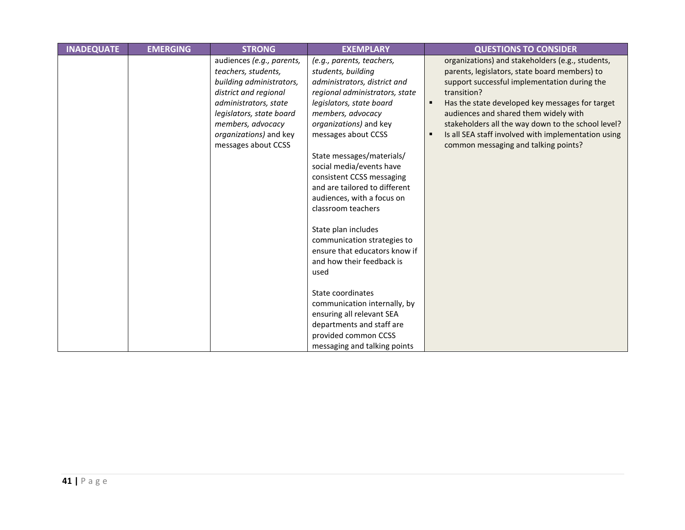| <b>INADEQUATE</b> | <b>EMERGING</b> | <b>STRONG</b>                                                                                                                                                                                                                    | <b>EXEMPLARY</b>                                                                                                                                                                                                                                                                                                                                                                                                                                                                                                           | <b>QUESTIONS TO CONSIDER</b>                                                                                                                                                                                                                                                                                                                                                                                                |
|-------------------|-----------------|----------------------------------------------------------------------------------------------------------------------------------------------------------------------------------------------------------------------------------|----------------------------------------------------------------------------------------------------------------------------------------------------------------------------------------------------------------------------------------------------------------------------------------------------------------------------------------------------------------------------------------------------------------------------------------------------------------------------------------------------------------------------|-----------------------------------------------------------------------------------------------------------------------------------------------------------------------------------------------------------------------------------------------------------------------------------------------------------------------------------------------------------------------------------------------------------------------------|
|                   |                 | audiences (e.g., parents,<br>teachers, students,<br>building administrators,<br>district and regional<br>administrators, state<br>legislators, state board<br>members, advocacy<br>organizations) and key<br>messages about CCSS | (e.g., parents, teachers,<br>students, building<br>administrators, district and<br>regional administrators, state<br>legislators, state board<br>members, advocacy<br>organizations) and key<br>messages about CCSS<br>State messages/materials/<br>social media/events have<br>consistent CCSS messaging<br>and are tailored to different<br>audiences, with a focus on<br>classroom teachers<br>State plan includes<br>communication strategies to<br>ensure that educators know if<br>and how their feedback is<br>used | organizations) and stakeholders (e.g., students,<br>parents, legislators, state board members) to<br>support successful implementation during the<br>transition?<br>Has the state developed key messages for target<br>٠<br>audiences and shared them widely with<br>stakeholders all the way down to the school level?<br>Is all SEA staff involved with implementation using<br>п<br>common messaging and talking points? |
|                   |                 |                                                                                                                                                                                                                                  | State coordinates<br>communication internally, by<br>ensuring all relevant SEA<br>departments and staff are<br>provided common CCSS<br>messaging and talking points                                                                                                                                                                                                                                                                                                                                                        |                                                                                                                                                                                                                                                                                                                                                                                                                             |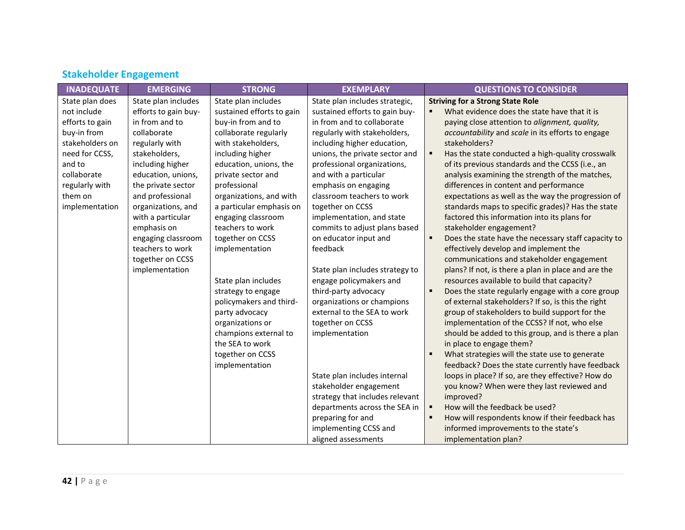| <b>INADEQUATE</b> | <b>EMERGING</b>      | <b>STRONG</b>             | <b>EXEMPLARY</b>                | <b>QUESTIONS TO CONSIDER</b>                          |
|-------------------|----------------------|---------------------------|---------------------------------|-------------------------------------------------------|
| State plan does   | State plan includes  | State plan includes       | State plan includes strategic,  | <b>Striving for a Strong State Role</b>               |
| not include       | efforts to gain buy- | sustained efforts to gain | sustained efforts to gain buy-  | What evidence does the state have that it is          |
| efforts to gain   | in from and to       | buy-in from and to        | in from and to collaborate      | paying close attention to alignment, quality,         |
| buy-in from       | collaborate          | collaborate regularly     | regularly with stakeholders,    | accountability and scale in its efforts to engage     |
| stakeholders on   | regularly with       | with stakeholders,        | including higher education,     | stakeholders?                                         |
| need for CCSS,    | stakeholders,        | including higher          | unions, the private sector and  | Has the state conducted a high-quality crosswalk<br>٠ |
| and to            | including higher     | education, unions, the    | professional organizations,     | of its previous standards and the CCSS (i.e., an      |
| collaborate       | education, unions,   | private sector and        | and with a particular           | analysis examining the strength of the matches,       |
| regularly with    | the private sector   | professional              | emphasis on engaging            | differences in content and performance                |
| them on           | and professional     | organizations, and with   | classroom teachers to work      | expectations as well as the way the progression of    |
| implementation    | organizations, and   | a particular emphasis on  | together on CCSS                | standards maps to specific grades)? Has the state     |
|                   | with a particular    | engaging classroom        | implementation, and state       | factored this information into its plans for          |
|                   | emphasis on          | teachers to work          | commits to adjust plans based   | stakeholder engagement?                               |
|                   | engaging classroom   | together on CCSS          | on educator input and           | Does the state have the necessary staff capacity to   |
|                   | teachers to work     | implementation            | feedback                        | effectively develop and implement the                 |
|                   | together on CCSS     |                           |                                 | communications and stakeholder engagement             |
|                   | implementation       |                           | State plan includes strategy to | plans? If not, is there a plan in place and are the   |
|                   |                      | State plan includes       | engage policymakers and         | resources available to build that capacity?           |
|                   |                      | strategy to engage        | third-party advocacy            | Does the state regularly engage with a core group     |
|                   |                      | policymakers and third-   | organizations or champions      | of external stakeholders? If so, is this the right    |
|                   |                      | party advocacy            | external to the SEA to work     | group of stakeholders to build support for the        |
|                   |                      | organizations or          | together on CCSS                | implementation of the CCSS? If not, who else          |
|                   |                      | champions external to     | implementation                  | should be added to this group, and is there a plan    |
|                   |                      | the SEA to work           |                                 | in place to engage them?                              |
|                   |                      | together on CCSS          |                                 | What strategies will the state use to generate        |
|                   |                      | implementation            |                                 | feedback? Does the state currently have feedback      |
|                   |                      |                           | State plan includes internal    | loops in place? If so, are they effective? How do     |
|                   |                      |                           | stakeholder engagement          | you know? When were they last reviewed and            |
|                   |                      |                           | strategy that includes relevant | improved?                                             |
|                   |                      |                           | departments across the SEA in   | How will the feedback be used?                        |
|                   |                      |                           | preparing for and               | How will respondents know if their feedback has       |
|                   |                      |                           | implementing CCSS and           | informed improvements to the state's                  |
|                   |                      |                           | aligned assessments             | implementation plan?                                  |

# <span id="page-42-0"></span>**Stakeholder Engagement**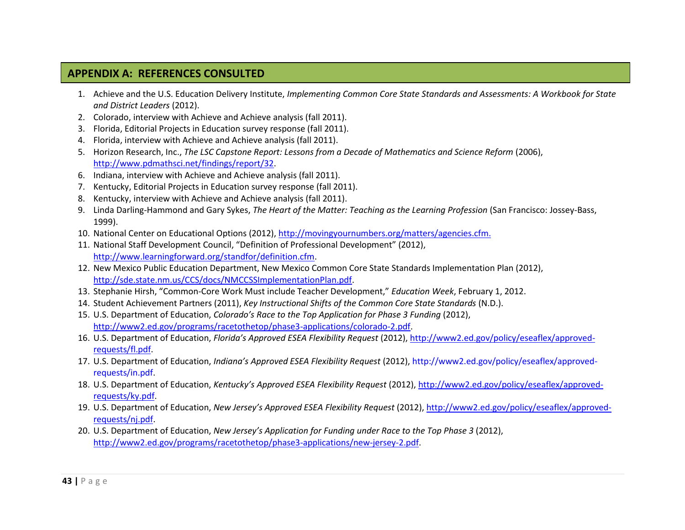### **APPENDIX A: REFERENCES CONSULTED**

- 1. Achieve and the U.S. Education Delivery Institute, *Implementing Common Core State Standards and Assessments: A Workbook for State and District Leaders* (2012).
- 2. Colorado, interview with Achieve and Achieve analysis (fall 2011).
- 3. Florida, Editorial Projects in Education survey response (fall 2011).
- 4. Florida, interview with Achieve and Achieve analysis (fall 2011).
- 5. Horizon Research, Inc., *The LSC Capstone Report: Lessons from a Decade of Mathematics and Science Reform* (2006), [http://www.pdmathsci.net/findings/report/32.](http://www.pdmathsci.net/findings/report/32)
- 6. Indiana, interview with Achieve and Achieve analysis (fall 2011).
- 7. Kentucky, Editorial Projects in Education survey response (fall 2011).
- 8. Kentucky, interview with Achieve and Achieve analysis (fall 2011).
- 9. Linda Darling-Hammond and Gary Sykes, *The Heart of the Matter: Teaching as the Learning Profession* (San Francisco: Jossey-Bass, 1999).
- 10. National Center on Educational Options (2012), [http://movingyournumbers.org/matters/agencies.cfm.](http://movingyournumbers.org/matters/agencies.cfm)
- 11. National Staff Development Council, "Definition of Professional Development" (2012), [http://www.learningforward.org/standfor/definition.cfm.](http://www.learningforward.org/standfor/definition.cfm)
- 12. New Mexico Public Education Department, New Mexico Common Core State Standards Implementation Plan (2012), [http://sde.state.nm.us/CCS/docs/NMCCSSImplementationPlan.pdf.](http://sde.state.nm.us/CCS/docs/NMCCSSImplementationPlan.pdf)
- 13. Stephanie Hirsh, "Common-Core Work Must include Teacher Development," *Education Week*, February 1, 2012.
- 14. Student Achievement Partners (2011), *Key Instructional Shifts of the Common Core State Standards* (N.D.).
- 15. U.S. Department of Education, *Colorado's Race to the Top Application for Phase 3 Funding* (2012), [http://www2.ed.gov/programs/racetothetop/phase3-applications/colorado-2.pdf.](http://www2.ed.gov/programs/racetothetop/phase3-applications/colorado-2.pdf)
- 16. U.S. Department of Education, *Florida's Approved ESEA Flexibility Request* (2012), [http://www2.ed.gov/policy/eseaflex/approved](http://www2.ed.gov/policy/eseaflex/approved-requests/fl.pdf)[requests/fl.pdf.](http://www2.ed.gov/policy/eseaflex/approved-requests/fl.pdf)
- 17. U.S. Department of Education, *Indiana's Approved ESEA Flexibility Request* (2012)[, http://www2.ed.gov/policy/eseaflex/approved](http://www2.ed.gov/policy/eseaflex/approved-requests/in.pdf)[requests/in.pdf.](http://www2.ed.gov/policy/eseaflex/approved-requests/in.pdf)
- 18. U.S. Department of Education, *Kentucky's Approved ESEA Flexibility Request* (2012)[, http://www2.ed.gov/policy/eseaflex/approved](http://www2.ed.gov/policy/eseaflex/approved-requests/ky.pdf)[requests/ky.pdf.](http://www2.ed.gov/policy/eseaflex/approved-requests/ky.pdf)
- 19. U.S. Department of Education, *New Jersey's Approved ESEA Flexibility Request* (2012)[, http://www2.ed.gov/policy/eseaflex/approved](http://www2.ed.gov/policy/eseaflex/approved-requests/nj.pdf)[requests/nj.pdf.](http://www2.ed.gov/policy/eseaflex/approved-requests/nj.pdf)
- 20. U.S. Department of Education, *New Jersey's Application for Funding under Race to the Top Phase 3* (2012), [http://www2.ed.gov/programs/racetothetop/phase3-applications/new-jersey-2.pdf.](http://www2.ed.gov/programs/racetothetop/phase3-applications/new-jersey-2.pdf)